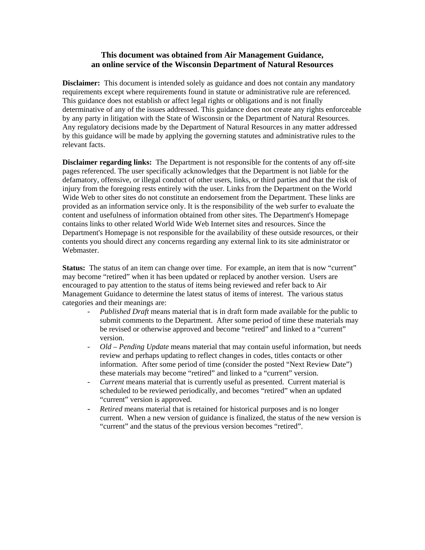#### **This document was obtained from Air Management Guidance, an online service of the Wisconsin Department of Natural Resources**

**Disclaimer:** This document is intended solely as guidance and does not contain any mandatory requirements except where requirements found in statute or administrative rule are referenced. This guidance does not establish or affect legal rights or obligations and is not finally determinative of any of the issues addressed. This guidance does not create any rights enforceable by any party in litigation with the State of Wisconsin or the Department of Natural Resources. Any regulatory decisions made by the Department of Natural Resources in any matter addressed by this guidance will be made by applying the governing statutes and administrative rules to the relevant facts.

**Disclaimer regarding links:** The Department is not responsible for the contents of any off-site pages referenced. The user specifically acknowledges that the Department is not liable for the defamatory, offensive, or illegal conduct of other users, links, or third parties and that the risk of injury from the foregoing rests entirely with the user. Links from the Department on the World Wide Web to other sites do not constitute an endorsement from the Department. These links are provided as an information service only. It is the responsibility of the web surfer to evaluate the content and usefulness of information obtained from other sites. The Department's Homepage contains links to other related World Wide Web Internet sites and resources. Since the Department's Homepage is not responsible for the availability of these outside resources, or their contents you should direct any concerns regarding any external link to its site administrator or Webmaster.

**Status:** The status of an item can change over time. For example, an item that is now "current" may become "retired" when it has been updated or replaced by another version. Users are encouraged to pay attention to the status of items being reviewed and refer back to Air Management Guidance to determine the latest status of items of interest. The various status categories and their meanings are:

- *Published Draft* means material that is in draft form made available for the public to submit comments to the Department. After some period of time these materials may be revised or otherwise approved and become "retired" and linked to a "current" version.
- *Old Pending Update* means material that may contain useful information, but needs review and perhaps updating to reflect changes in codes, titles contacts or other information. After some period of time (consider the posted "Next Review Date") these materials may become "retired" and linked to a "current" version.
- *Current* means material that is currently useful as presented. Current material is scheduled to be reviewed periodically, and becomes "retired" when an updated "current" version is approved.
- *Retired* means material that is retained for historical purposes and is no longer current. When a new version of guidance is finalized, the status of the new version is "current" and the status of the previous version becomes "retired".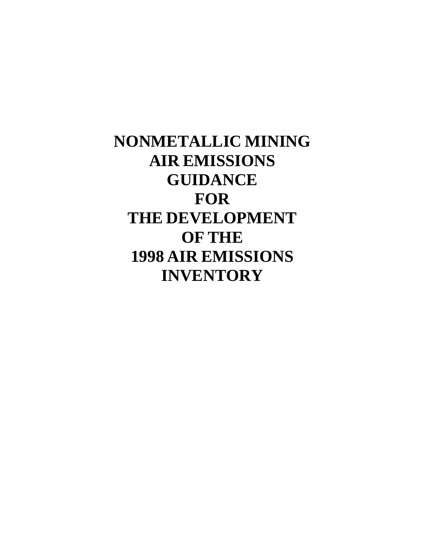# **NONMETALLIC MINING AIR EMISSIONS GUIDANCE FOR THE DEVELOPMENT OF THE 1998 AIR EMISSIONS INVENTORY**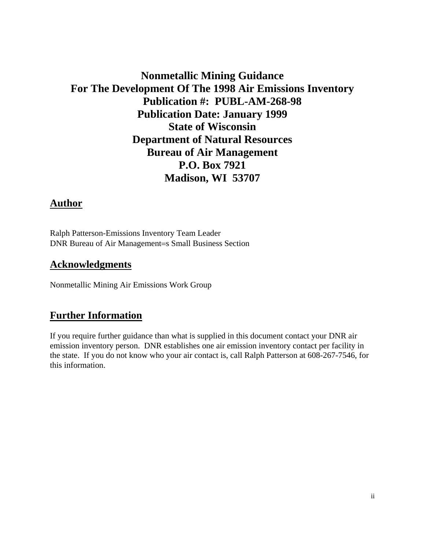### **Nonmetallic Mining Guidance For The Development Of The 1998 Air Emissions Inventory Publication #: PUBL-AM-268-98 Publication Date: January 1999 State of Wisconsin Department of Natural Resources Bureau of Air Management P.O. Box 7921 Madison, WI 53707**

#### **Author**

Ralph Patterson-Emissions Inventory Team Leader DNR Bureau of Air Management=s Small Business Section

#### **Acknowledgments**

Nonmetallic Mining Air Emissions Work Group

#### **Further Information**

If you require further guidance than what is supplied in this document contact your DNR air emission inventory person. DNR establishes one air emission inventory contact per facility in the state. If you do not know who your air contact is, call Ralph Patterson at 608-267-7546, for this information.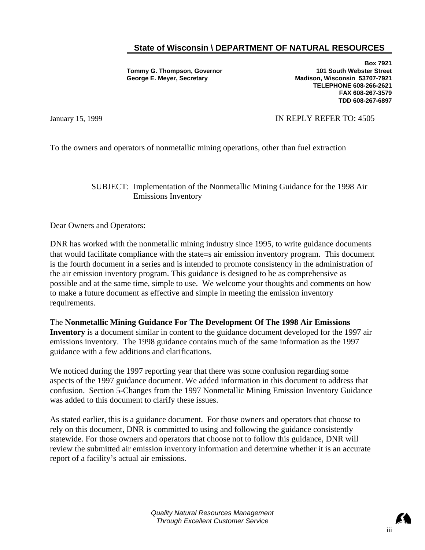#### **State of Wisconsin \ DEPARTMENT OF NATURAL RESOURCES**

**Tommy G. Thompson, Governor George E. Meyer, Secretary** 

**Box 7921 101 South Webster Street Madison, Wisconsin 53707-7921 TELEPHONE 608-266-2621 FAX 608-267-3579 TDD 608-267-6897**

#### January 15, 1999 **IN REPLY REFER TO: 4505**

To the owners and operators of nonmetallic mining operations, other than fuel extraction

SUBJECT: Implementation of the Nonmetallic Mining Guidance for the 1998 Air Emissions Inventory

Dear Owners and Operators:

DNR has worked with the nonmetallic mining industry since 1995, to write guidance documents that would facilitate compliance with the state=s air emission inventory program. This document is the fourth document in a series and is intended to promote consistency in the administration of the air emission inventory program. This guidance is designed to be as comprehensive as possible and at the same time, simple to use. We welcome your thoughts and comments on how to make a future document as effective and simple in meeting the emission inventory requirements.

The **Nonmetallic Mining Guidance For The Development Of The 1998 Air Emissions Inventory** is a document similar in content to the guidance document developed for the 1997 air emissions inventory. The 1998 guidance contains much of the same information as the 1997 guidance with a few additions and clarifications.

We noticed during the 1997 reporting year that there was some confusion regarding some aspects of the 1997 guidance document. We added information in this document to address that confusion. Section 5-Changes from the 1997 Nonmetallic Mining Emission Inventory Guidance was added to this document to clarify these issues.

As stated earlier, this is a guidance document. For those owners and operators that choose to rely on this document, DNR is committed to using and following the guidance consistently statewide. For those owners and operators that choose not to follow this guidance, DNR will review the submitted air emission inventory information and determine whether it is an accurate report of a facility's actual air emissions.

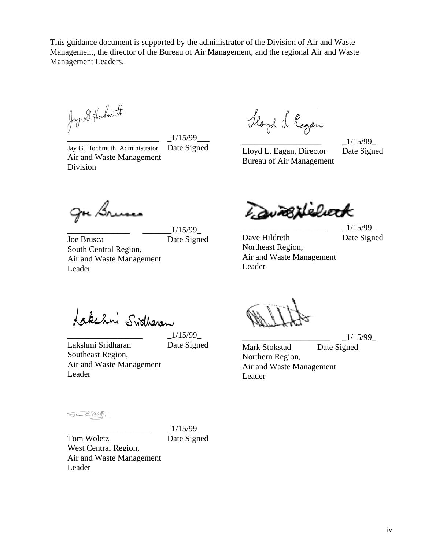This guidance document is supported by the administrator of the Division of Air and Waste Management, the director of the Bureau of Air Management, and the regional Air and Waste Management Leaders.

Jay S. Hockmuth

\_\_\_\_\_\_\_\_\_\_\_\_\_\_\_\_\_\_\_\_\_\_ \_1/15/99\_\_\_

\_\_\_\_\_\_\_\_\_\_\_\_\_\_\_ \_\_\_\_\_\_\_1/15/99\_

Jay G. Hochmuth, Administrator Date Signed Air and Waste Management Division

Hoyd L logan

Lloyd L. Eagan, Director Date Signed Bureau of Air Management

 $\_1/15/99$ 

LavaBNelieck

 $1/15/99$ 

Dave Hildreth Date Signed Northeast Region, Air and Waste Management Leader

Lakshni Swotheren

Joe Brusca Date Signed

Lakshmi Sridharan Date Signed Southeast Region, Air and Waste Management Leader

South Central Region,

gre Brusse

Leader

Air and Waste Management

 $\_1/15/99$ 

Flower E. Watt

 $\_1/15/99$ Tom Woletz Date Signed

West Central Region, Air and Waste Management Leader

\_\_\_\_\_\_\_\_\_\_\_\_\_\_\_\_\_\_\_\_\_ \_1/15/99\_

Mark Stokstad Date Signed Northern Region, Air and Waste Management Leader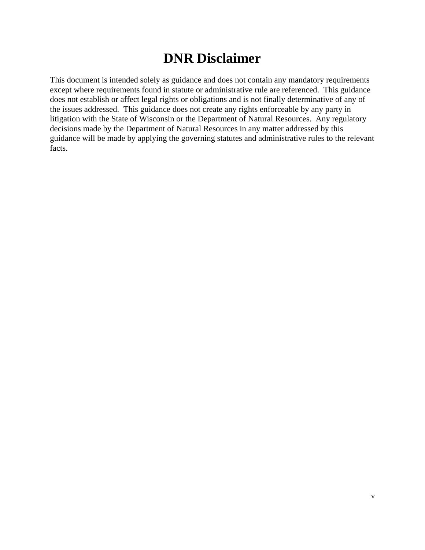## **DNR Disclaimer**

This document is intended solely as guidance and does not contain any mandatory requirements except where requirements found in statute or administrative rule are referenced. This guidance does not establish or affect legal rights or obligations and is not finally determinative of any of the issues addressed. This guidance does not create any rights enforceable by any party in litigation with the State of Wisconsin or the Department of Natural Resources. Any regulatory decisions made by the Department of Natural Resources in any matter addressed by this guidance will be made by applying the governing statutes and administrative rules to the relevant facts.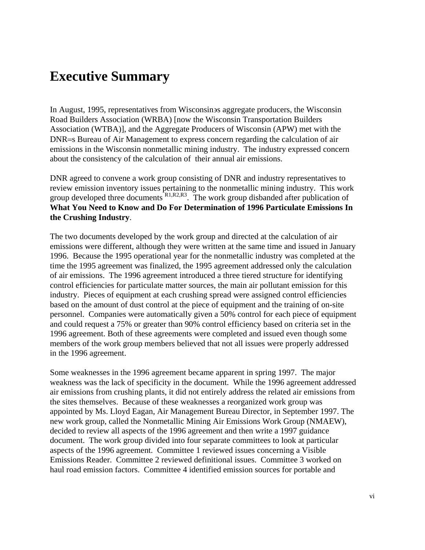## **Executive Summary**

In August, 1995, representatives from Wisconsin∋s aggregate producers, the Wisconsin Road Builders Association (WRBA) [now the Wisconsin Transportation Builders Association (WTBA)], and the Aggregate Producers of Wisconsin (APW) met with the DNR=s Bureau of Air Management to express concern regarding the calculation of air emissions in the Wisconsin nonmetallic mining industry. The industry expressed concern about the consistency of the calculation of their annual air emissions.

DNR agreed to convene a work group consisting of DNR and industry representatives to review emission inventory issues pertaining to the nonmetallic mining industry. This work group developed three documents  $R1, R2, R3$ . The work group disbanded after publication of **What You Need to Know and Do For Determination of 1996 Particulate Emissions In the Crushing Industry**.

The two documents developed by the work group and directed at the calculation of air emissions were different, although they were written at the same time and issued in January 1996. Because the 1995 operational year for the nonmetallic industry was completed at the time the 1995 agreement was finalized, the 1995 agreement addressed only the calculation of air emissions. The 1996 agreement introduced a three tiered structure for identifying control efficiencies for particulate matter sources, the main air pollutant emission for this industry. Pieces of equipment at each crushing spread were assigned control efficiencies based on the amount of dust control at the piece of equipment and the training of on-site personnel. Companies were automatically given a 50% control for each piece of equipment and could request a 75% or greater than 90% control efficiency based on criteria set in the 1996 agreement. Both of these agreements were completed and issued even though some members of the work group members believed that not all issues were properly addressed in the 1996 agreement.

Some weaknesses in the 1996 agreement became apparent in spring 1997. The major weakness was the lack of specificity in the document. While the 1996 agreement addressed air emissions from crushing plants, it did not entirely address the related air emissions from the sites themselves. Because of these weaknesses a reorganized work group was appointed by Ms. Lloyd Eagan, Air Management Bureau Director, in September 1997. The new work group, called the Nonmetallic Mining Air Emissions Work Group (NMAEW), decided to review all aspects of the 1996 agreement and then write a 1997 guidance document. The work group divided into four separate committees to look at particular aspects of the 1996 agreement. Committee 1 reviewed issues concerning a Visible Emissions Reader. Committee 2 reviewed definitional issues. Committee 3 worked on haul road emission factors. Committee 4 identified emission sources for portable and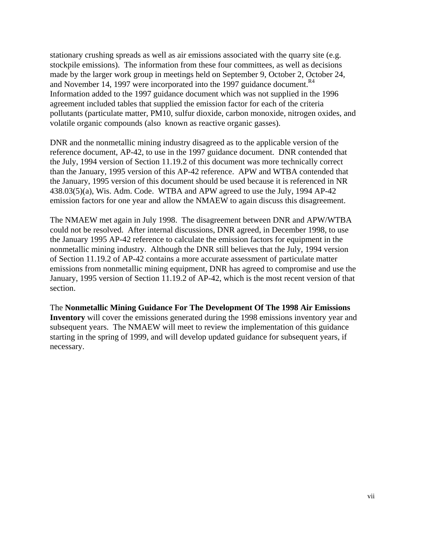stationary crushing spreads as well as air emissions associated with the quarry site (e.g. stockpile emissions). The information from these four committees, as well as decisions made by the larger work group in meetings held on September 9, October 2, October 24, and November 14, 1997 were incorporated into the 1997 guidance document. $R<sup>4</sup>$ Information added to the 1997 guidance document which was not supplied in the 1996 agreement included tables that supplied the emission factor for each of the criteria pollutants (particulate matter, PM10, sulfur dioxide, carbon monoxide, nitrogen oxides, and volatile organic compounds (also known as reactive organic gasses).

DNR and the nonmetallic mining industry disagreed as to the applicable version of the reference document, AP-42, to use in the 1997 guidance document. DNR contended that the July, 1994 version of Section 11.19.2 of this document was more technically correct than the January, 1995 version of this AP-42 reference. APW and WTBA contended that the January, 1995 version of this document should be used because it is referenced in NR 438.03(5)(a), Wis. Adm. Code. WTBA and APW agreed to use the July, 1994 AP-42 emission factors for one year and allow the NMAEW to again discuss this disagreement.

The NMAEW met again in July 1998. The disagreement between DNR and APW/WTBA could not be resolved. After internal discussions, DNR agreed, in December 1998, to use the January 1995 AP-42 reference to calculate the emission factors for equipment in the nonmetallic mining industry. Although the DNR still believes that the July, 1994 version of Section 11.19.2 of AP-42 contains a more accurate assessment of particulate matter emissions from nonmetallic mining equipment, DNR has agreed to compromise and use the January, 1995 version of Section 11.19.2 of AP-42, which is the most recent version of that section.

The **Nonmetallic Mining Guidance For The Development Of The 1998 Air Emissions Inventory** will cover the emissions generated during the 1998 emissions inventory year and subsequent years. The NMAEW will meet to review the implementation of this guidance starting in the spring of 1999, and will develop updated guidance for subsequent years, if necessary.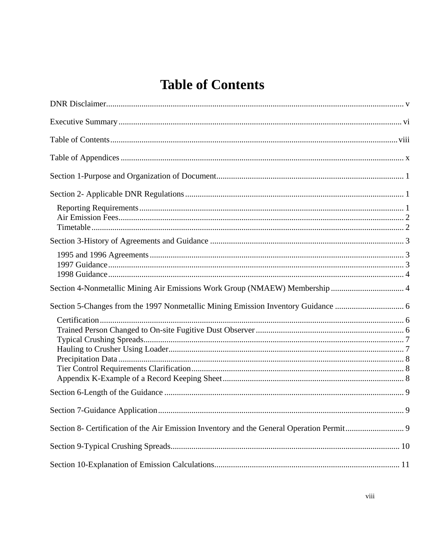# **Table of Contents**

| Section 4-Nonmetallic Mining Air Emissions Work Group (NMAEW) Membership  4 |  |
|-----------------------------------------------------------------------------|--|
|                                                                             |  |
|                                                                             |  |
|                                                                             |  |
|                                                                             |  |
|                                                                             |  |
|                                                                             |  |
|                                                                             |  |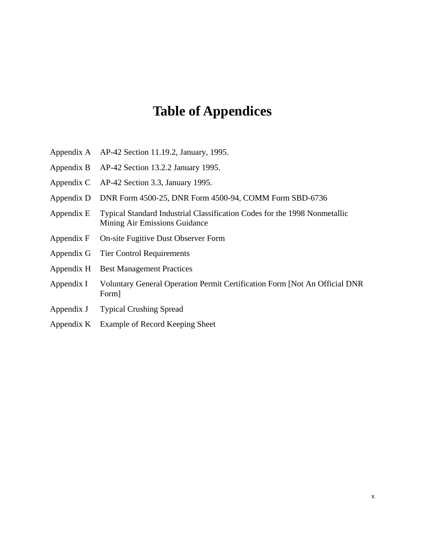## **Table of Appendices**

- Appendix A AP-42 Section 11.19.2, January, 1995.
- Appendix B AP-42 Section 13.2.2 January 1995.
- Appendix C AP-42 Section 3.3, January 1995.
- Appendix D DNR Form 4500-25, DNR Form 4500-94, COMM Form SBD-6736
- Appendix E Typical Standard Industrial Classification Codes for the 1998 Nonmetallic Mining Air Emissions Guidance
- Appendix F On-site Fugitive Dust Observer Form
- Appendix G Tier Control Requirements
- Appendix H Best Management Practices
- Appendix I Voluntary General Operation Permit Certification Form [Not An Official DNR Form]
- Appendix J Typical Crushing Spread
- Appendix K Example of Record Keeping Sheet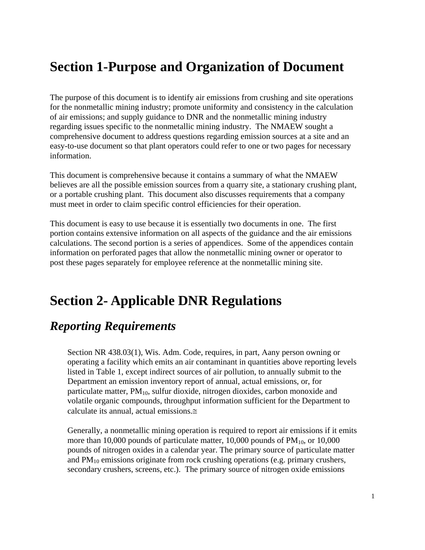## **Section 1-Purpose and Organization of Document**

The purpose of this document is to identify air emissions from crushing and site operations for the nonmetallic mining industry; promote uniformity and consistency in the calculation of air emissions; and supply guidance to DNR and the nonmetallic mining industry regarding issues specific to the nonmetallic mining industry. The NMAEW sought a comprehensive document to address questions regarding emission sources at a site and an easy-to-use document so that plant operators could refer to one or two pages for necessary information.

This document is comprehensive because it contains a summary of what the NMAEW believes are all the possible emission sources from a quarry site, a stationary crushing plant, or a portable crushing plant. This document also discusses requirements that a company must meet in order to claim specific control efficiencies for their operation.

This document is easy to use because it is essentially two documents in one. The first portion contains extensive information on all aspects of the guidance and the air emissions calculations. The second portion is a series of appendices. Some of the appendices contain information on perforated pages that allow the nonmetallic mining owner or operator to post these pages separately for employee reference at the nonmetallic mining site.

### **Section 2- Applicable DNR Regulations**

### *Reporting Requirements*

Section NR 438.03(1), Wis. Adm. Code, requires, in part, Aany person owning or operating a facility which emits an air contaminant in quantities above reporting levels listed in Table 1, except indirect sources of air pollution, to annually submit to the Department an emission inventory report of annual, actual emissions, or, for particulate matter,  $PM_{10}$ , sulfur dioxide, nitrogen dioxides, carbon monoxide and volatile organic compounds, throughput information sufficient for the Department to calculate its annual, actual emissions.≅

Generally, a nonmetallic mining operation is required to report air emissions if it emits more than 10,000 pounds of particulate matter, 10,000 pounds of  $PM<sub>10</sub>$ , or 10,000 pounds of nitrogen oxides in a calendar year. The primary source of particulate matter and  $PM_{10}$  emissions originate from rock crushing operations (e.g. primary crushers, secondary crushers, screens, etc.). The primary source of nitrogen oxide emissions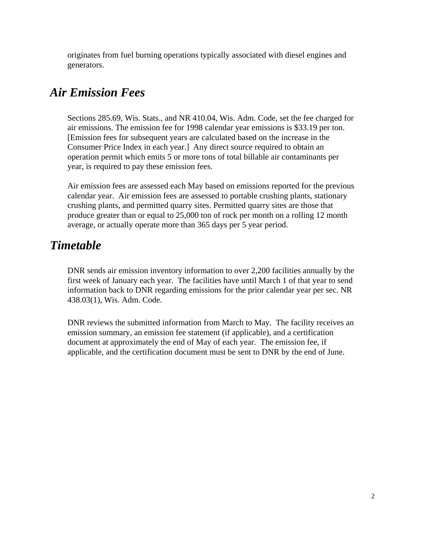originates from fuel burning operations typically associated with diesel engines and generators.

### *Air Emission Fees*

Sections 285.69, Wis. Stats., and NR 410.04, Wis. Adm. Code, set the fee charged for air emissions. The emission fee for 1998 calendar year emissions is \$33.19 per ton. [Emission fees for subsequent years are calculated based on the increase in the Consumer Price Index in each year.] Any direct source required to obtain an operation permit which emits 5 or more tons of total billable air contaminants per year, is required to pay these emission fees.

Air emission fees are assessed each May based on emissions reported for the previous calendar year. Air emission fees are assessed to portable crushing plants, stationary crushing plants, and permitted quarry sites. Permitted quarry sites are those that produce greater than or equal to 25,000 ton of rock per month on a rolling 12 month average, or actually operate more than 365 days per 5 year period.

### *Timetable*

DNR sends air emission inventory information to over 2,200 facilities annually by the first week of January each year. The facilities have until March 1 of that year to send information back to DNR regarding emissions for the prior calendar year per sec. NR 438.03(1), Wis. Adm. Code.

DNR reviews the submitted information from March to May. The facility receives an emission summary, an emission fee statement (if applicable), and a certification document at approximately the end of May of each year. The emission fee, if applicable, and the certification document must be sent to DNR by the end of June.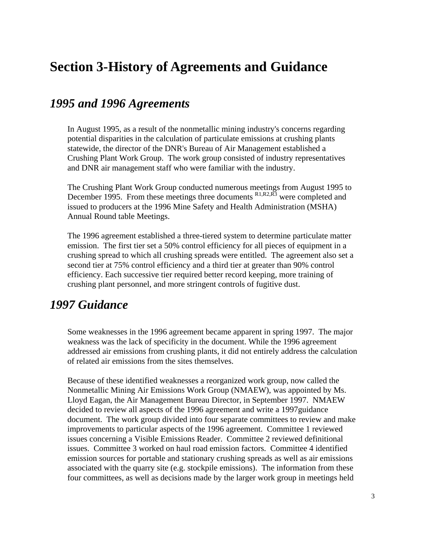## **Section 3-History of Agreements and Guidance**

### *1995 and 1996 Agreements*

In August 1995, as a result of the nonmetallic mining industry's concerns regarding potential disparities in the calculation of particulate emissions at crushing plants statewide, the director of the DNR's Bureau of Air Management established a Crushing Plant Work Group. The work group consisted of industry representatives and DNR air management staff who were familiar with the industry.

The Crushing Plant Work Group conducted numerous meetings from August 1995 to December 1995. From these meetings three documents  $R1, R2, R3$  were completed and issued to producers at the 1996 Mine Safety and Health Administration (MSHA) Annual Round table Meetings.

The 1996 agreement established a three-tiered system to determine particulate matter emission. The first tier set a 50% control efficiency for all pieces of equipment in a crushing spread to which all crushing spreads were entitled. The agreement also set a second tier at 75% control efficiency and a third tier at greater than 90% control efficiency. Each successive tier required better record keeping, more training of crushing plant personnel, and more stringent controls of fugitive dust.

### *1997 Guidance*

Some weaknesses in the 1996 agreement became apparent in spring 1997. The major weakness was the lack of specificity in the document. While the 1996 agreement addressed air emissions from crushing plants, it did not entirely address the calculation of related air emissions from the sites themselves.

Because of these identified weaknesses a reorganized work group, now called the Nonmetallic Mining Air Emissions Work Group (NMAEW), was appointed by Ms. Lloyd Eagan, the Air Management Bureau Director, in September 1997. NMAEW decided to review all aspects of the 1996 agreement and write a 1997guidance document. The work group divided into four separate committees to review and make improvements to particular aspects of the 1996 agreement. Committee 1 reviewed issues concerning a Visible Emissions Reader. Committee 2 reviewed definitional issues. Committee 3 worked on haul road emission factors. Committee 4 identified emission sources for portable and stationary crushing spreads as well as air emissions associated with the quarry site (e.g. stockpile emissions). The information from these four committees, as well as decisions made by the larger work group in meetings held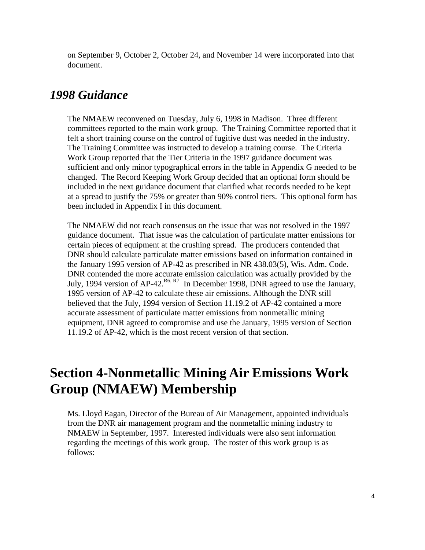on September 9, October 2, October 24, and November 14 were incorporated into that document.

### *1998 Guidance*

The NMAEW reconvened on Tuesday, July 6, 1998 in Madison. Three different committees reported to the main work group. The Training Committee reported that it felt a short training course on the control of fugitive dust was needed in the industry. The Training Committee was instructed to develop a training course. The Criteria Work Group reported that the Tier Criteria in the 1997 guidance document was sufficient and only minor typographical errors in the table in Appendix G needed to be changed. The Record Keeping Work Group decided that an optional form should be included in the next guidance document that clarified what records needed to be kept at a spread to justify the 75% or greater than 90% control tiers. This optional form has been included in Appendix I in this document.

The NMAEW did not reach consensus on the issue that was not resolved in the 1997 guidance document. That issue was the calculation of particulate matter emissions for certain pieces of equipment at the crushing spread. The producers contended that DNR should calculate particulate matter emissions based on information contained in the January 1995 version of AP-42 as prescribed in NR 438.03(5), Wis. Adm. Code. DNR contended the more accurate emission calculation was actually provided by the July, 1994 version of  $AP-42$ <sup>R6, R7</sup> In December 1998, DNR agreed to use the January, 1995 version of AP-42 to calculate these air emissions. Although the DNR still believed that the July, 1994 version of Section 11.19.2 of AP-42 contained a more accurate assessment of particulate matter emissions from nonmetallic mining equipment, DNR agreed to compromise and use the January, 1995 version of Section 11.19.2 of AP-42, which is the most recent version of that section.

## **Section 4-Nonmetallic Mining Air Emissions Work Group (NMAEW) Membership**

Ms. Lloyd Eagan, Director of the Bureau of Air Management, appointed individuals from the DNR air management program and the nonmetallic mining industry to NMAEW in September, 1997. Interested individuals were also sent information regarding the meetings of this work group. The roster of this work group is as follows: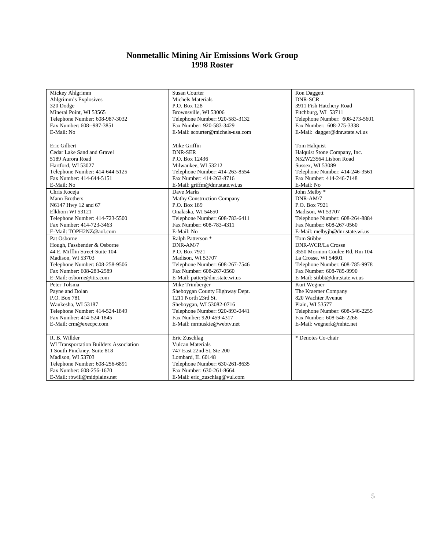#### **Nonmetallic Mining Air Emissions Work Group 1998 Roster**

| Mickey Ahlgrimm                        | Susan Courter                     | Ron Daggett                     |
|----------------------------------------|-----------------------------------|---------------------------------|
| Ahlgrimm's Explosives                  | Michels Materials                 | <b>DNR-SCR</b>                  |
| 320 Dodge                              | P.O. Box 128                      | 3911 Fish Hatchery Road         |
| Mineral Point, WI 53565                | Brownsville, WI 53006             | Fitchburg, WI 53711             |
| Telephone Number: 608-987-3032         | Telephone Number: 920-583-3132    | Telephone Number: 608-273-5601  |
| Fax Number: 608--987-3851              | Fax Number: 920-583-3429          | Fax Number: 608-275-3338        |
| E-Mail: No                             | E-Mail: scourter@michels-usa.com  | E-Mail: dagger@dnr.state.wi.us  |
|                                        |                                   |                                 |
| Eric Gilbert                           | Mike Griffin                      | Tom Halquist                    |
| Cedar Lake Sand and Gravel             | <b>DNR-SER</b>                    | Halquist Stone Company, Inc.    |
| 5189 Aurora Road                       | P.O. Box 12436                    | N52W23564 Lisbon Road           |
| Hartford, WI 53027                     | Milwaukee, WI 53212               | Sussex, WI 53089                |
| Telephone Number: 414-644-5125         | Telephone Number: 414-263-8554    | Telephone Number: 414-246-3561  |
| Fax Number: 414-644-5151               | Fax Number: 414-263-8716          | Fax Number: 414-246-7148        |
| E-Mail: No                             | E-Mail: griffm@dnr.state.wi.us    | E-Mail: No                      |
| Chris Koceja                           | Dave Marks                        | John Melby *                    |
| Mann Brothers                          | <b>Mathy Construction Company</b> | DNR-AM/7                        |
| N6147 Hwy 12 and 67                    | P.O. Box 189                      | P.O. Box 7921                   |
| Elkhorn WI 53121                       | Onalaska, WI 54650                | Madison, WI 53707               |
| Telephone Number: 414-723-5500         | Telephone Number: 608-783-6411    | Telephone Number: 608-264-8884  |
| Fax Number: 414-723-3463               | Fax Number: 608-783-4311          | Fax Number: 608-267-0560        |
| E-Mail: TOPH2NZ@aol.com                | E-Mail: No                        | E-Mail: melbyjh@dnr.state.wi.us |
| Pat Osborne                            | Ralph Patterson <sup>*</sup>      | Tom Stibbe                      |
| Hough, Fassbender & Osborne            | DNR-AM/7                          | <b>DNR-WCR/La Crosse</b>        |
| 44 E. Mifflin Street-Suite 104         | P.O. Box 7921                     | 3550 Mormon Coulee Rd, Rm 104   |
| Madison, WI 53703                      | Madison, WI 53707                 | La Crosse, WI 54601             |
| Telephone Number: 608-258-9506         | Telephone Number: 608-267-7546    | Telephone Number: 608-785-9978  |
| Fax Number: 608-283-2589               | Fax Number: 608-267-0560          | Fax Number: 608-785-9990        |
| E-Mail: osborne@itis.com               | E-Mail: patter@dnr.state.wi.us    | E-Mail: stibbt@dnr.state.wi.us  |
| Peter Tolsma                           | Mike Trimberger                   | Kurt Wegner                     |
| Payne and Dolan                        | Sheboygan County Highway Dept.    | The Kraemer Company             |
| P.O. Box 781                           | 1211 North 23rd St.               | 820 Wachter Avenue              |
| Waukesha, WI 53187                     | Sheboygan, WI 53082-0716          | Plain, WI 53577                 |
| Telephone Number: 414-524-1849         | Telephone Number: 920-893-0441    | Telephone Number: 608-546-2255  |
| Fax Number: 414-524-1845               | Fax Nunber: 920-459-4317          | Fax Number: 608-546-2266        |
| E-Mail: crm@execpc.com                 | E-Mail: mrmuskie@webtv.net        | E-Mail: wegnerk@mhtc.net        |
|                                        |                                   |                                 |
| R. B. Willder                          | Eric Zuschlag                     | * Denotes Co-chair              |
| WI Transportation Builders Association | Vulcan Materials                  |                                 |
| 1 South Pinckney, Suite 818            | 747 East 22nd St, Ste 200         |                                 |
| Madison, WI 53703                      | Lombard, IL 60148                 |                                 |
| Telephone Number: 608-256-6891         | Telephone Number: 630-261-8635    |                                 |
| Fax Number: 608-256-1670               | Fax Number: 630-261-8664          |                                 |
| E-Mail: rbwill@midplains.net           | E-Mail: eric_zuschlag@vul.com     |                                 |
|                                        |                                   |                                 |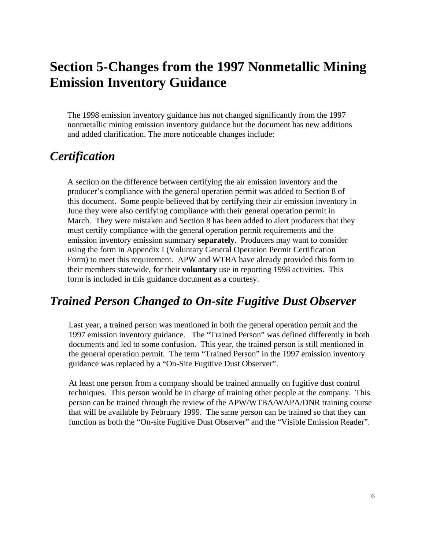# **Section 5-Changes from the 1997 Nonmetallic Mining Emission Inventory Guidance**

The 1998 emission inventory guidance has not changed significantly from the 1997 nonmetallic mining emission inventory guidance but the document has new additions and added clarification. The more noticeable changes include:

### *Certification*

A section on the difference between certifying the air emission inventory and the producer's compliance with the general operation permit was added to Section 8 of this document. Some people believed that by certifying their air emission inventory in June they were also certifying compliance with their general operation permit in March. They were mistaken and Section 8 has been added to alert producers that they must certify compliance with the general operation permit requirements and the emission inventory emission summary **separately**. Producers may want to consider using the form in Appendix I (Voluntary General Operation Permit Certification Form) to meet this requirement. APW and WTBA have already provided this form to their members statewide, for their **voluntary** use in reporting 1998 activities. This form is included in this guidance document as a courtesy.

### *Trained Person Changed to On-site Fugitive Dust Observer*

Last year, a trained person was mentioned in both the general operation permit and the 1997 emission inventory guidance. The "Trained Person" was defined differently in both documents and led to some confusion. This year, the trained person is still mentioned in the general operation permit. The term "Trained Person" in the 1997 emission inventory guidance was replaced by a "On-Site Fugitive Dust Observer".

At least one person from a company should be trained annually on fugitive dust control techniques. This person would be in charge of training other people at the company. This person can be trained through the review of the APW/WTBA/WAPA/DNR training course that will be available by February 1999. The same person can be trained so that they can function as both the "On-site Fugitive Dust Observer" and the "Visible Emission Reader".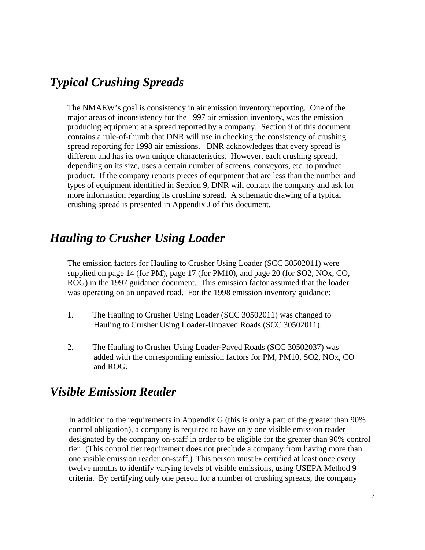### *Typical Crushing Spreads*

The NMAEW's goal is consistency in air emission inventory reporting. One of the major areas of inconsistency for the 1997 air emission inventory, was the emission producing equipment at a spread reported by a company. Section 9 of this document contains a rule-of-thumb that DNR will use in checking the consistency of crushing spread reporting for 1998 air emissions. DNR acknowledges that every spread is different and has its own unique characteristics. However, each crushing spread, depending on its size, uses a certain number of screens, conveyors, etc. to produce product. If the company reports pieces of equipment that are less than the number and types of equipment identified in Section 9, DNR will contact the company and ask for more information regarding its crushing spread. A schematic drawing of a typical crushing spread is presented in Appendix J of this document.

### *Hauling to Crusher Using Loader*

The emission factors for Hauling to Crusher Using Loader (SCC 30502011) were supplied on page 14 (for PM), page 17 (for PM10), and page 20 (for SO2, NOx, CO, ROG) in the 1997 guidance document. This emission factor assumed that the loader was operating on an unpaved road. For the 1998 emission inventory guidance:

- 1. The Hauling to Crusher Using Loader (SCC 30502011) was changed to Hauling to Crusher Using Loader-Unpaved Roads (SCC 30502011).
- 2. The Hauling to Crusher Using Loader-Paved Roads (SCC 30502037) was added with the corresponding emission factors for PM, PM10, SO2, NOx, CO and ROG.

### *Visible Emission Reader*

In addition to the requirements in Appendix G (this is only a part of the greater than 90% control obligation), a company is required to have only one visible emission reader designated by the company on-staff in order to be eligible for the greater than 90% control tier. (This control tier requirement does not preclude a company from having more than one visible emission reader on-staff.) This person must be certified at least once every twelve months to identify varying levels of visible emissions, using USEPA Method 9 criteria. By certifying only one person for a number of crushing spreads, the company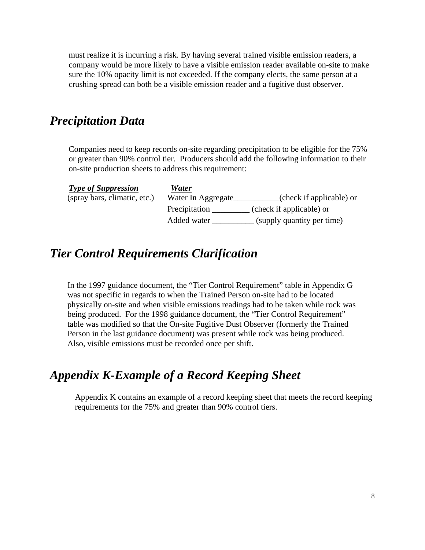must realize it is incurring a risk. By having several trained visible emission readers, a company would be more likely to have a visible emission reader available on-site to make sure the 10% opacity limit is not exceeded. If the company elects, the same person at a crushing spread can both be a visible emission reader and a fugitive dust observer.

### *Precipitation Data*

Companies need to keep records on-site regarding precipitation to be eligible for the 75% or greater than 90% control tier. Producers should add the following information to their on-site production sheets to address this requirement:

| <b>Type of Suppression</b>   | Water              |                            |
|------------------------------|--------------------|----------------------------|
| (spray bars, climatic, etc.) | Water In Aggregate | (check if applicable) or   |
|                              | Precipitation      | (check if applicable) or   |
|                              | Added water        | (supply quantity per time) |

### *Tier Control Requirements Clarification*

In the 1997 guidance document, the "Tier Control Requirement" table in Appendix G was not specific in regards to when the Trained Person on-site had to be located physically on-site and when visible emissions readings had to be taken while rock was being produced. For the 1998 guidance document, the "Tier Control Requirement" table was modified so that the On-site Fugitive Dust Observer (formerly the Trained Person in the last guidance document) was present while rock was being produced. Also, visible emissions must be recorded once per shift.

### *Appendix K-Example of a Record Keeping Sheet*

Appendix K contains an example of a record keeping sheet that meets the record keeping requirements for the 75% and greater than 90% control tiers.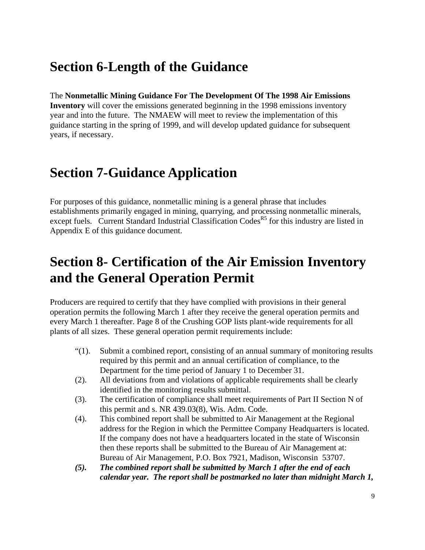# **Section 6-Length of the Guidance**

The **Nonmetallic Mining Guidance For The Development Of The 1998 Air Emissions Inventory** will cover the emissions generated beginning in the 1998 emissions inventory year and into the future. The NMAEW will meet to review the implementation of this guidance starting in the spring of 1999, and will develop updated guidance for subsequent years, if necessary.

# **Section 7-Guidance Application**

For purposes of this guidance, nonmetallic mining is a general phrase that includes establishments primarily engaged in mining, quarrying, and processing nonmetallic minerals, except fuels. Current Standard Industrial Classification Codes<sup>R5</sup> for this industry are listed in Appendix E of this guidance document.

# **Section 8- Certification of the Air Emission Inventory and the General Operation Permit**

Producers are required to certify that they have complied with provisions in their general operation permits the following March 1 after they receive the general operation permits and every March 1 thereafter. Page 8 of the Crushing GOP lists plant-wide requirements for all plants of all sizes. These general operation permit requirements include:

- "(1). Submit a combined report, consisting of an annual summary of monitoring results required by this permit and an annual certification of compliance, to the Department for the time period of January 1 to December 31.
- (2). All deviations from and violations of applicable requirements shall be clearly identified in the monitoring results submittal.
- (3). The certification of compliance shall meet requirements of Part II Section N of this permit and s. NR 439.03(8), Wis. Adm. Code.
- (4). This combined report shall be submitted to Air Management at the Regional address for the Region in which the Permittee Company Headquarters is located. If the company does not have a headquarters located in the state of Wisconsin then these reports shall be submitted to the Bureau of Air Management at: Bureau of Air Management, P.O. Box 7921, Madison, Wisconsin 53707.
- *(5). The combined report shall be submitted by March 1 after the end of each calendar year. The report shall be postmarked no later than midnight March 1,*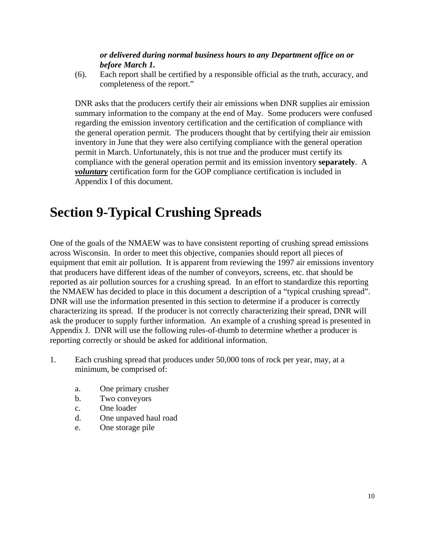#### *or delivered during normal business hours to any Department office on or before March 1.*

(6). Each report shall be certified by a responsible official as the truth, accuracy, and completeness of the report."

DNR asks that the producers certify their air emissions when DNR supplies air emission summary information to the company at the end of May. Some producers were confused regarding the emission inventory certification and the certification of compliance with the general operation permit. The producers thought that by certifying their air emission inventory in June that they were also certifying compliance with the general operation permit in March. Unfortunately, this is not true and the producer must certify its compliance with the general operation permit and its emission inventory **separately**. A *voluntary* certification form for the GOP compliance certification is included in Appendix I of this document.

# **Section 9-Typical Crushing Spreads**

One of the goals of the NMAEW was to have consistent reporting of crushing spread emissions across Wisconsin. In order to meet this objective, companies should report all pieces of equipment that emit air pollution. It is apparent from reviewing the 1997 air emissions inventory that producers have different ideas of the number of conveyors, screens, etc. that should be reported as air pollution sources for a crushing spread. In an effort to standardize this reporting the NMAEW has decided to place in this document a description of a "typical crushing spread". DNR will use the information presented in this section to determine if a producer is correctly characterizing its spread. If the producer is not correctly characterizing their spread, DNR will ask the producer to supply further information. An example of a crushing spread is presented in Appendix J. DNR will use the following rules-of-thumb to determine whether a producer is reporting correctly or should be asked for additional information.

- 1. Each crushing spread that produces under 50,000 tons of rock per year, may, at a minimum, be comprised of:
	- a. One primary crusher
	- b. Two conveyors
	- c. One loader
	- d. One unpaved haul road
	- e. One storage pile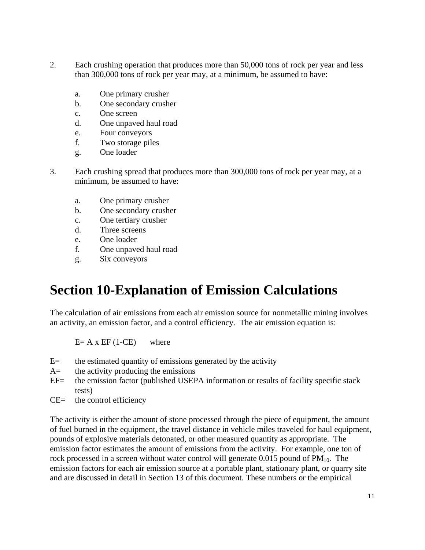- 2. Each crushing operation that produces more than 50,000 tons of rock per year and less than 300,000 tons of rock per year may, at a minimum, be assumed to have:
	- a. One primary crusher
	- b. One secondary crusher
	- c. One screen
	- d. One unpaved haul road
	- e. Four conveyors
	- f. Two storage piles
	- g. One loader
- 3. Each crushing spread that produces more than 300,000 tons of rock per year may, at a minimum, be assumed to have:
	- a. One primary crusher
	- b. One secondary crusher
	- c. One tertiary crusher
	- d. Three screens
	- e. One loader
	- f. One unpaved haul road
	- g. Six conveyors

## **Section 10-Explanation of Emission Calculations**

The calculation of air emissions from each air emission source for nonmetallic mining involves an activity, an emission factor, and a control efficiency. The air emission equation is:

 $E= A \times EF$  (1-CE) where

- $E=$  the estimated quantity of emissions generated by the activity
- A= the activity producing the emissions
- EF= the emission factor (published USEPA information or results of facility specific stack tests)
- $CE=$  the control efficiency

The activity is either the amount of stone processed through the piece of equipment, the amount of fuel burned in the equipment, the travel distance in vehicle miles traveled for haul equipment, pounds of explosive materials detonated, or other measured quantity as appropriate. The emission factor estimates the amount of emissions from the activity. For example, one ton of rock processed in a screen without water control will generate  $0.015$  pound of PM<sub>10</sub>. The emission factors for each air emission source at a portable plant, stationary plant, or quarry site and are discussed in detail in Section 13 of this document. These numbers or the empirical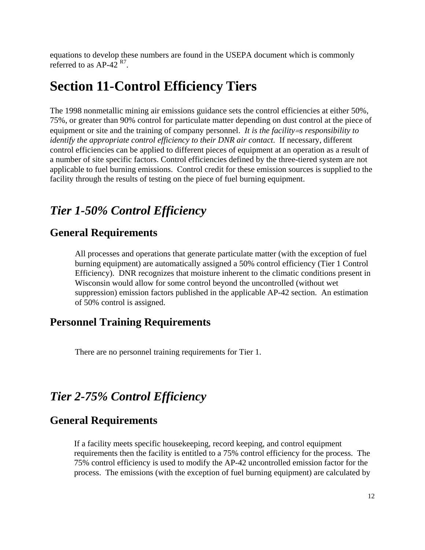equations to develop these numbers are found in the USEPA document which is commonly referred to as  $AP-42 R7$ .

# **Section 11-Control Efficiency Tiers**

The 1998 nonmetallic mining air emissions guidance sets the control efficiencies at either 50%, 75%, or greater than 90% control for particulate matter depending on dust control at the piece of equipment or site and the training of company personnel. *It is the facility*=*s responsibility to identify the appropriate control efficiency to their DNR air contact*. If necessary, different control efficiencies can be applied to different pieces of equipment at an operation as a result of a number of site specific factors. Control efficiencies defined by the three-tiered system are not applicable to fuel burning emissions. Control credit for these emission sources is supplied to the facility through the results of testing on the piece of fuel burning equipment.

## *Tier 1-50% Control Efficiency*

### **General Requirements**

All processes and operations that generate particulate matter (with the exception of fuel burning equipment) are automatically assigned a 50% control efficiency (Tier 1 Control Efficiency). DNR recognizes that moisture inherent to the climatic conditions present in Wisconsin would allow for some control beyond the uncontrolled (without wet suppression) emission factors published in the applicable AP-42 section. An estimation of 50% control is assigned.

### **Personnel Training Requirements**

There are no personnel training requirements for Tier 1.

### *Tier 2-75% Control Efficiency*

#### **General Requirements**

If a facility meets specific housekeeping, record keeping, and control equipment requirements then the facility is entitled to a 75% control efficiency for the process. The 75% control efficiency is used to modify the AP-42 uncontrolled emission factor for the process. The emissions (with the exception of fuel burning equipment) are calculated by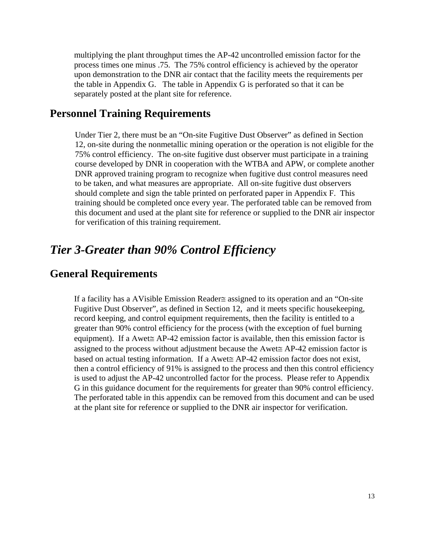multiplying the plant throughput times the AP-42 uncontrolled emission factor for the process times one minus .75. The 75% control efficiency is achieved by the operator upon demonstration to the DNR air contact that the facility meets the requirements per the table in Appendix G. The table in Appendix G is perforated so that it can be separately posted at the plant site for reference.

#### **Personnel Training Requirements**

Under Tier 2, there must be an "On-site Fugitive Dust Observer" as defined in Section 12, on-site during the nonmetallic mining operation or the operation is not eligible for the 75% control efficiency. The on-site fugitive dust observer must participate in a training course developed by DNR in cooperation with the WTBA and APW, or complete another DNR approved training program to recognize when fugitive dust control measures need to be taken, and what measures are appropriate. All on-site fugitive dust observers should complete and sign the table printed on perforated paper in Appendix F. This training should be completed once every year. The perforated table can be removed from this document and used at the plant site for reference or supplied to the DNR air inspector for verification of this training requirement.

### *Tier 3-Greater than 90% Control Efficiency*

#### **General Requirements**

If a facility has a ΑVisible Emission Reader≅ assigned to its operation and an "On-site Fugitive Dust Observer", as defined in Section 12, and it meets specific housekeeping, record keeping, and control equipment requirements, then the facility is entitled to a greater than 90% control efficiency for the process (with the exception of fuel burning equipment). If a Awet $\cong$  AP-42 emission factor is available, then this emission factor is assigned to the process without adjustment because the Αwet≅ AP-42 emission factor is based on actual testing information. If a Awet≅ AP-42 emission factor does not exist, then a control efficiency of 91% is assigned to the process and then this control efficiency is used to adjust the AP-42 uncontrolled factor for the process. Please refer to Appendix G in this guidance document for the requirements for greater than 90% control efficiency. The perforated table in this appendix can be removed from this document and can be used at the plant site for reference or supplied to the DNR air inspector for verification.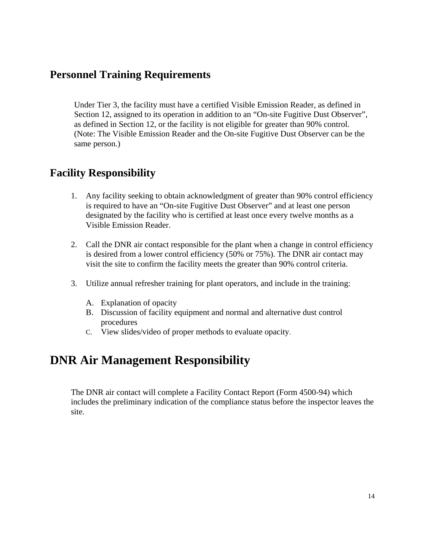### **Personnel Training Requirements**

Under Tier 3, the facility must have a certified Visible Emission Reader, as defined in Section 12, assigned to its operation in addition to an "On-site Fugitive Dust Observer", as defined in Section 12, or the facility is not eligible for greater than 90% control. (Note: The Visible Emission Reader and the On-site Fugitive Dust Observer can be the same person.)

### **Facility Responsibility**

- 1. Any facility seeking to obtain acknowledgment of greater than 90% control efficiency is required to have an "On-site Fugitive Dust Observer" and at least one person designated by the facility who is certified at least once every twelve months as a Visible Emission Reader.
- 2. Call the DNR air contact responsible for the plant when a change in control efficiency is desired from a lower control efficiency (50% or 75%). The DNR air contact may visit the site to confirm the facility meets the greater than 90% control criteria.
- 3. Utilize annual refresher training for plant operators, and include in the training:
	- A. Explanation of opacity
	- B. Discussion of facility equipment and normal and alternative dust control procedures
	- C. View slides/video of proper methods to evaluate opacity.

### **DNR Air Management Responsibility**

The DNR air contact will complete a Facility Contact Report (Form 4500-94) which includes the preliminary indication of the compliance status before the inspector leaves the site.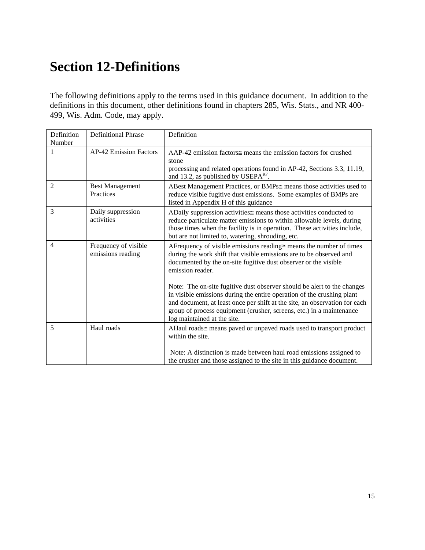# **Section 12-Definitions**

The following definitions apply to the terms used in this guidance document. In addition to the definitions in this document, other definitions found in chapters 285, Wis. Stats., and NR 400- 499, Wis. Adm. Code, may apply.

| Definition<br>Number | <b>Definitional Phrase</b>                | Definition                                                                                                                                                                                                                                                                                                                             |
|----------------------|-------------------------------------------|----------------------------------------------------------------------------------------------------------------------------------------------------------------------------------------------------------------------------------------------------------------------------------------------------------------------------------------|
|                      | <b>AP-42 Emission Factors</b>             | AAP-42 emission factors≅ means the emission factors for crushed<br>stone<br>processing and related operations found in AP-42, Sections 3.3, 11.19,<br>and 13.2, as published by USEP $AR7$ .                                                                                                                                           |
| $\overline{2}$       | <b>Best Management</b><br>Practices       | ABest Management Practices, or BMPs≅ means those activities used to<br>reduce visible fugitive dust emissions. Some examples of BMPs are<br>listed in Appendix H of this guidance                                                                                                                                                      |
| 3                    | Daily suppression<br>activities           | ADaily suppression activities $\cong$ means those activities conducted to<br>reduce particulate matter emissions to within allowable levels, during<br>those times when the facility is in operation. These activities include,<br>but are not limited to, watering, shrouding, etc.                                                   |
| $\overline{4}$       | Frequency of visible<br>emissions reading | AF requency of visible emissions reading $\equiv$ means the number of times<br>during the work shift that visible emissions are to be observed and<br>documented by the on-site fugitive dust observer or the visible<br>emission reader.                                                                                              |
|                      |                                           | Note: The on-site fugitive dust observer should be alert to the changes<br>in visible emissions during the entire operation of the crushing plant<br>and document, at least once per shift at the site, an observation for each<br>group of process equipment (crusher, screens, etc.) in a maintenance<br>log maintained at the site. |
| 5                    | Haul roads                                | AHaul roads≅ means paved or unpaved roads used to transport product<br>within the site.                                                                                                                                                                                                                                                |
|                      |                                           | Note: A distinction is made between haul road emissions assigned to<br>the crusher and those assigned to the site in this guidance document.                                                                                                                                                                                           |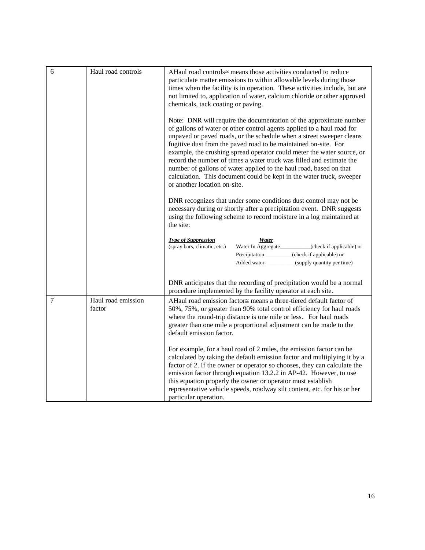| 6 | Haul road controls           | AHaul road controls≅ means those activities conducted to reduce<br>particulate matter emissions to within allowable levels during those<br>times when the facility is in operation. These activities include, but are<br>not limited to, application of water, calcium chloride or other approved<br>chemicals, tack coating or paving.                                                                                                                                                                                                                                                                                 |  |  |  |  |
|---|------------------------------|-------------------------------------------------------------------------------------------------------------------------------------------------------------------------------------------------------------------------------------------------------------------------------------------------------------------------------------------------------------------------------------------------------------------------------------------------------------------------------------------------------------------------------------------------------------------------------------------------------------------------|--|--|--|--|
|   |                              | Note: DNR will require the documentation of the approximate number<br>of gallons of water or other control agents applied to a haul road for<br>unpaved or paved roads, or the schedule when a street sweeper cleans<br>fugitive dust from the paved road to be maintained on-site. For<br>example, the crushing spread operator could meter the water source, or<br>record the number of times a water truck was filled and estimate the<br>number of gallons of water applied to the haul road, based on that<br>calculation. This document could be kept in the water truck, sweeper<br>or another location on-site. |  |  |  |  |
|   |                              | DNR recognizes that under some conditions dust control may not be<br>necessary during or shortly after a precipitation event. DNR suggests<br>using the following scheme to record moisture in a log maintained at<br>the site:                                                                                                                                                                                                                                                                                                                                                                                         |  |  |  |  |
|   |                              | <b>Type of Suppression</b><br>Water<br>(spray bars, climatic, etc.)<br>Water In Aggregate_________(check if applicable) or<br>Precipitation _________ (check if applicable) or<br>Added water ______________ (supply quantity per time)                                                                                                                                                                                                                                                                                                                                                                                 |  |  |  |  |
|   |                              | DNR anticipates that the recording of precipitation would be a normal<br>procedure implemented by the facility operator at each site.                                                                                                                                                                                                                                                                                                                                                                                                                                                                                   |  |  |  |  |
| 7 | Haul road emission<br>factor | AHaul road emission factor≅ means a three-tiered default factor of<br>50%, 75%, or greater than 90% total control efficiency for haul roads<br>where the round-trip distance is one mile or less. For haul roads<br>greater than one mile a proportional adjustment can be made to the<br>default emission factor.                                                                                                                                                                                                                                                                                                      |  |  |  |  |
|   |                              | For example, for a haul road of 2 miles, the emission factor can be<br>calculated by taking the default emission factor and multiplying it by a<br>factor of 2. If the owner or operator so chooses, they can calculate the<br>emission factor through equation 13.2.2 in AP-42. However, to use<br>this equation properly the owner or operator must establish<br>representative vehicle speeds, roadway silt content, etc. for his or her<br>particular operation.                                                                                                                                                    |  |  |  |  |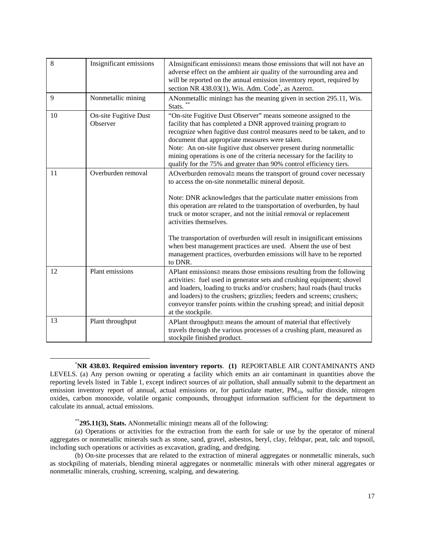| 8  | Insignificant emissions           | AInsignificant emissions $\equiv$ means those emissions that will not have an<br>adverse effect on the ambient air quality of the surrounding area and<br>will be reported on the annual emission inventory report, required by<br>section NR 438.03(1), Wis. Adm. Code <sup>*</sup> , as Azero≅.                                                                                                                                                                                                                                                                                                        |
|----|-----------------------------------|----------------------------------------------------------------------------------------------------------------------------------------------------------------------------------------------------------------------------------------------------------------------------------------------------------------------------------------------------------------------------------------------------------------------------------------------------------------------------------------------------------------------------------------------------------------------------------------------------------|
| 9  | Nonmetallic mining                | ANonmetallic mining $\equiv$ has the meaning given in section 295.11, Wis.<br>Stats.                                                                                                                                                                                                                                                                                                                                                                                                                                                                                                                     |
| 10 | On-site Fugitive Dust<br>Observer | "On-site Fugitive Dust Observer" means someone assigned to the<br>facility that has completed a DNR approved training program to<br>recognize when fugitive dust control measures need to be taken, and to<br>document that appropriate measures were taken.<br>Note: An on-site fugitive dust observer present during nonmetallic<br>mining operations is one of the criteria necessary for the facility to<br>qualify for the 75% and greater than 90% control efficiency tiers.                                                                                                                       |
| 11 | Overburden removal                | AOverburden removal≅ means the transport of ground cover necessary<br>to access the on-site nonmetallic mineral deposit.<br>Note: DNR acknowledges that the particulate matter emissions from<br>this operation are related to the transportation of overburden, by haul<br>truck or motor scraper, and not the initial removal or replacement<br>activities themselves.<br>The transportation of overburden will result in insignificant emissions<br>when best management practices are used. Absent the use of best<br>management practices, overburden emissions will have to be reported<br>to DNR. |
| 12 | Plant emissions                   | APlant emissions≅ means those emissions resulting from the following<br>activities: fuel used in generator sets and crushing equipment; shovel<br>and loaders, loading to trucks and/or crushers; haul roads (haul trucks<br>and loaders) to the crushers; grizzlies; feeders and screens; crushers;<br>conveyor transfer points within the crushing spread; and initial deposit<br>at the stockpile.                                                                                                                                                                                                    |
| 13 | Plant throughput                  | APlant throughput≅ means the amount of material that effectively<br>travels through the various processes of a crushing plant, measured as<br>stockpile finished product.                                                                                                                                                                                                                                                                                                                                                                                                                                |

 \* **NR 438.03. Required emission inventory reports**. **(1)** REPORTABLE AIR CONTAMINANTS AND LEVELS. (a) Any person owning or operating a facility which emits an air contaminant in quantities above the reporting levels listed in Table 1, except indirect sources of air pollution, shall annually submit to the department an emission inventory report of annual, actual emissions or, for particulate matter,  $PM_{10}$ , sulfur dioxide, nitrogen oxides, carbon monoxide, volatile organic compounds, throughput information sufficient for the department to calculate its annual, actual emissions.

\*\***295.11(3), Stats.** ΑNonmetallic mining≅ means all of the following:

(a) Operations or activities for the extraction from the earth for sale or use by the operator of mineral aggregates or nonmetallic minerals such as stone, sand, gravel, asbestos, beryl, clay, feldspar, peat, talc and topsoil, including such operations or activities as excavation, grading, and dredging.

(b) On-site processes that are related to the extraction of mineral aggregates or nonmetallic minerals, such as stockpiling of materials, blending mineral aggregates or nonmetallic minerals with other mineral aggregates or nonmetallic minerals, crushing, screening, scalping, and dewatering.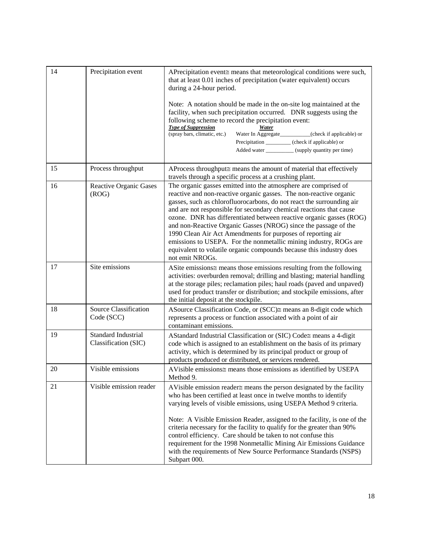| 14 | Precipitation event                         | APrecipitation event≅ means that meteorological conditions were such,<br>that at least 0.01 inches of precipitation (water equivalent) occurs<br>during a 24-hour period.<br>Note: A notation should be made in the on-site log maintained at the<br>facility, when such precipitation occurred. DNR suggests using the<br>following scheme to record the precipitation event:<br><b>Type of Suppression</b><br>Water<br>(spray bars, climatic, etc.)<br>Water In Aggregate_________(check if applicable) or<br>Precipitation __________ (check if applicable) or<br>Added water ___________ (supply quantity per time)                                       |
|----|---------------------------------------------|---------------------------------------------------------------------------------------------------------------------------------------------------------------------------------------------------------------------------------------------------------------------------------------------------------------------------------------------------------------------------------------------------------------------------------------------------------------------------------------------------------------------------------------------------------------------------------------------------------------------------------------------------------------|
| 15 | Process throughput                          | AProcess throughput≅ means the amount of material that effectively<br>travels through a specific process at a crushing plant.                                                                                                                                                                                                                                                                                                                                                                                                                                                                                                                                 |
| 16 | Reactive Organic Gases<br>(ROG)             | The organic gasses emitted into the atmosphere are comprised of<br>reactive and non-reactive organic gasses. The non-reactive organic<br>gasses, such as chlorofluorocarbons, do not react the surrounding air<br>and are not responsible for secondary chemical reactions that cause<br>ozone. DNR has differentiated between reactive organic gasses (ROG)<br>and non-Reactive Organic Gasses (NROG) since the passage of the<br>1990 Clean Air Act Amendments for purposes of reporting air<br>emissions to USEPA. For the nonmetallic mining industry, ROGs are<br>equivalent to volatile organic compounds because this industry does<br>not emit NROGs. |
| 17 | Site emissions                              | ASite emissions $\equiv$ means those emissions resulting from the following<br>activities: overburden removal; drilling and blasting; material handling<br>at the storage piles; reclamation piles; haul roads (paved and unpaved)<br>used for product transfer or distribution; and stockpile emissions, after<br>the initial deposit at the stockpile.                                                                                                                                                                                                                                                                                                      |
| 18 | Source Classification<br>Code (SCC)         | ASource Classification Code, or (SCC)≅ means an 8-digit code which<br>represents a process or function associated with a point of air<br>contaminant emissions.                                                                                                                                                                                                                                                                                                                                                                                                                                                                                               |
| 19 | Standard Industrial<br>Classification (SIC) | AStandard Industrial Classification or (SIC) Code≅ means a 4-digit<br>code which is assigned to an establishment on the basis of its primary<br>activity, which is determined by its principal product or group of<br>products produced or distributed, or services rendered.                                                                                                                                                                                                                                                                                                                                                                                 |
| 20 | Visible emissions                           | AVisible emissions≅ means those emissions as identified by USEPA<br>Method 9.                                                                                                                                                                                                                                                                                                                                                                                                                                                                                                                                                                                 |
| 21 | Visible emission reader                     | AVisible emission reader $\cong$ means the person designated by the facility<br>who has been certified at least once in twelve months to identify<br>varying levels of visible emissions, using USEPA Method 9 criteria.<br>Note: A Visible Emission Reader, assigned to the facility, is one of the<br>criteria necessary for the facility to qualify for the greater than 90%<br>control efficiency. Care should be taken to not confuse this<br>requirement for the 1998 Nonmetallic Mining Air Emissions Guidance<br>with the requirements of New Source Performance Standards (NSPS)<br>Subpart 000.                                                     |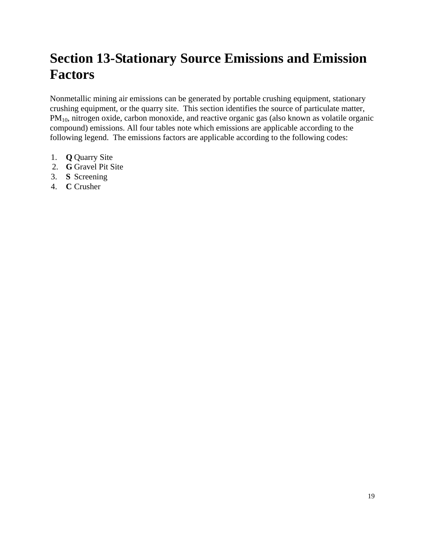# **Section 13-Stationary Source Emissions and Emission Factors**

Nonmetallic mining air emissions can be generated by portable crushing equipment, stationary crushing equipment, or the quarry site. This section identifies the source of particulate matter,  $PM_{10}$ , nitrogen oxide, carbon monoxide, and reactive organic gas (also known as volatile organic compound) emissions. All four tables note which emissions are applicable according to the following legend. The emissions factors are applicable according to the following codes:

- 1. **Q** Quarry Site
- 2. **G** Gravel Pit Site
- 3. **S** Screening
- 4. **C** Crusher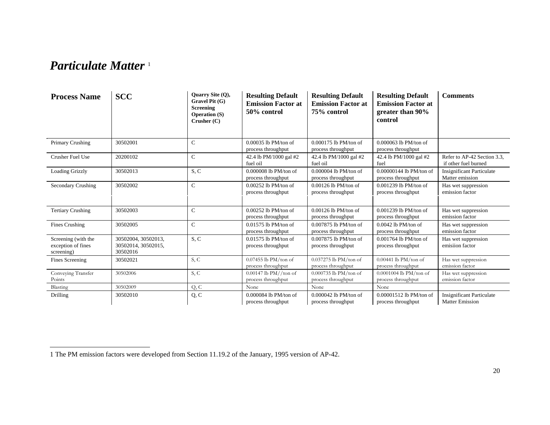### *Particulate Matter* <sup>1</sup>

| <b>Process Name</b>                                     | <b>SCC</b>                                             | Quarry Site (Q),<br>Gravel Pit (G)<br><b>Screening</b><br><b>Operation (S)</b><br>Crusher(C) | <b>Resulting Default</b><br><b>Emission Factor at</b><br>50% control | <b>Resulting Default</b><br><b>Emission Factor at</b><br>75% control | <b>Resulting Default</b><br><b>Emission Factor at</b><br>greater than 90%<br>control | <b>Comments</b>                                            |
|---------------------------------------------------------|--------------------------------------------------------|----------------------------------------------------------------------------------------------|----------------------------------------------------------------------|----------------------------------------------------------------------|--------------------------------------------------------------------------------------|------------------------------------------------------------|
| Primary Crushing                                        | 30502001                                               | $\mathsf{C}$                                                                                 | $0.00035$ lb PM/ton of<br>process throughput                         | $0.000175$ lb PM/ton of<br>process throughput                        | $0.000063$ lb PM/ton of<br>process throughput                                        |                                                            |
| Crusher Fuel Use                                        | 20200102                                               | $\mathsf{C}$                                                                                 | 42.4 lb PM/1000 gal #2<br>fuel oil                                   | 42.4 lb PM/1000 gal #2<br>fuel oil                                   | 42.4 lb PM/1000 gal #2<br>fuel                                                       | Refer to AP-42 Section 3.3.<br>if other fuel burned        |
| Loading Grizzly                                         | 30502013                                               | S, C                                                                                         | $0.000008$ lb PM/ton of<br>process throughput                        | $0.000004$ lb PM/ton of<br>process throughput                        | 0.00000144 lb PM/ton of<br>process throughput                                        | <b>Insignificant Particulate</b><br>Matter emission        |
| Secondary Crushing                                      | 30502002                                               | $\mathsf{C}$                                                                                 | $0.00252$ lb PM/ton of<br>process throughput                         | $0.00126$ lb PM/ton of<br>process throughput                         | $0.001239$ lb PM/ton of<br>process throughput                                        | Has wet suppression<br>emission factor                     |
| <b>Tertiary Crushing</b>                                | 30502003                                               | $\mathsf{C}$                                                                                 | $0.00252$ lb PM/ton of<br>process throughput                         | $0.00126$ lb PM/ton of<br>process throughput                         | $0.001239$ lb PM/ton of<br>process throughput                                        | Has wet suppression<br>emission factor                     |
| Fines Crushing                                          | 30502005                                               | $\mathsf{C}$                                                                                 | 0.01575 lb PM/ton of<br>process throughput                           | 0.007875 lb PM/ton of<br>process throughput                          | $0.0042$ lb PM/ton of<br>process throughput                                          | Has wet suppression<br>emission factor                     |
| Screening (with the<br>exception of fines<br>screening) | 30502004, 30502013,<br>30502014, 30502015,<br>30502016 | S, C                                                                                         | $0.01575$ lb PM/ton of<br>process throughput                         | $0.007875$ lb PM/ton of<br>process throughput                        | $0.001764$ lb PM/ton of<br>process throughput                                        | Has wet suppression<br>emisiion factor                     |
| Fines Screening                                         | 30502021                                               | S, C                                                                                         | $0.07455$ lb PM/ton of<br>process throughput                         | $0.037275$ lb PM/ton of<br>process throughput                        | $0.00441$ lb PM/ton of<br>process throughput                                         | Has wet suppression<br>emission factor                     |
| Conveying Transfer<br>Points                            | 30502006                                               | S, C                                                                                         | $0.00147$ lb PM//ton of<br>process throughput                        | 0.000735 lb PM/ton of<br>process throughput                          | 0.0001004 lb PM/ton of<br>process throughput                                         | Has wet suppression<br>emission factor                     |
| Blasting                                                | 30502009                                               | Q, C                                                                                         | None                                                                 | None                                                                 | None                                                                                 |                                                            |
| Drilling                                                | 30502010                                               | Q, C                                                                                         | 0.000084 lb PM/ton of<br>process throughput                          | $0.000042$ lb PM/ton of<br>process throughput                        | 0.00001512 lb PM/ton of<br>process throughput                                        | <b>Insignificant Particulate</b><br><b>Matter Emission</b> |

<sup>1</sup> The PM emission factors were developed from Section 11.19.2 of the January, 1995 version of AP-42.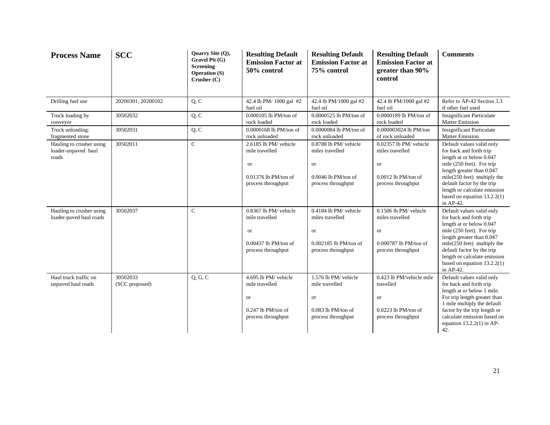| <b>Process Name</b>                                      | <b>SCC</b>                 | Quarry Site (Q),<br>Gravel Pit (G)<br><b>Screening</b><br><b>Operation (S)</b><br>Crusher (C) | <b>Resulting Default</b><br><b>Emission Factor at</b><br>50% control | <b>Resulting Default</b><br><b>Emission Factor at</b><br>75% control | <b>Resulting Default</b><br><b>Emission Factor at</b><br>greater than 90%<br>control | <b>Comments</b>                                                                                                                                   |
|----------------------------------------------------------|----------------------------|-----------------------------------------------------------------------------------------------|----------------------------------------------------------------------|----------------------------------------------------------------------|--------------------------------------------------------------------------------------|---------------------------------------------------------------------------------------------------------------------------------------------------|
| Drilling fuel use                                        | 20200301, 20200102         | Q, C                                                                                          | 42.4 lb PM/ 1000 gal #2<br>fuel oil                                  | 42.4 lb PM/1000 gal #2<br>fuel oil                                   | 42.4 lb PM/1000 gal #2<br>fuel oil                                                   | Refer to AP-42 Section 3.3<br>if other fuel used                                                                                                  |
| Truck loading by<br>conveyor                             | 30502032                   | Q, C                                                                                          | 0.000105 lb PM/ton of<br>rock loaded                                 | 0.0000525 lb PM/ton of<br>rock loaded                                | 0.0000189 lb PM/ton of<br>rock loaded                                                | <b>Insignificant Particulate</b><br><b>Matter Emission</b>                                                                                        |
| Truck unloading:<br>fragmented stone                     | 30502031                   | Q, C                                                                                          | 0.0000168 lb PM/ton of<br>rock unloaded                              | 0.0000084 lb PM/ton of<br>rock unloaded                              | 0.000003024 lb PM/ton<br>of rock unloaded                                            | <b>Insignificant Particulate</b><br><b>Matter Emission</b>                                                                                        |
| Hauling to crusher using<br>loader-unpaved haul<br>roads | 30502011                   | $\mathbf C$                                                                                   | 2.6185 lb PM/ vehicle<br>mile travelled<br><b>or</b>                 | 0.8788 lb PM/ vehicle<br>miles travelled<br>or                       | 0.02357 lb PM/ vehicle<br>miles travelled<br>or                                      | Default values valid only<br>for back and forth trip<br>length at or below 0.047<br>mile (250 feet). For trip<br>length greater than 0.047        |
|                                                          |                            |                                                                                               | $0.01376$ lb PM/ton of<br>process throughput                         | $0.0046$ lb PM/ton of<br>process throughput                          | $0.0012$ lb PM/ton of<br>process throughput                                          | $mile(250 \text{ feet})$ multiply the<br>default factor by the trip<br>length or calculate emission<br>based on equation $13.2.2(1)$<br>in AP-42. |
| Hauling to crusher using<br>loader-paved haul roads      | 30502037                   | $\mathbf C$                                                                                   | 0.8367 lb PM/ vehicle<br>mile travelled<br><b>or</b>                 | 0.4184 lb PM/ vehicle<br>miles travelled<br><b>or</b>                | 0.1506 lb PM/ vehicle<br>miles travelled<br><b>or</b>                                | Default values valid only<br>for back and forth trip<br>length at or below 0.047<br>mile (250 feet). For trip<br>length greater than 0.047        |
|                                                          |                            |                                                                                               | $0.00437$ lb PM/ton of<br>process throughput                         | $0.002185$ lb PM/ton of<br>process throughput                        | 0.000787 lb PM/ton of<br>process throughput                                          | $mile(250 \text{ feet})$ multiply the<br>default factor by the trip<br>length or calculate emission<br>based on equation $13.2.2(1)$<br>in AP-42. |
| Haul truck traffic on<br>unpaved haul roads              | 30502033<br>(SCC proposed) | Q, G, C                                                                                       | 4.695 lb PM/ vehicle<br>mile travelled<br><b>or</b>                  | 1.576 lb PM/ vehicle<br>mile travelled<br>or                         | 0.423 lb PM/vehicle mile<br>travelled<br>or                                          | Default values valid only<br>for back and forth trip<br>length at or below 1 mile.<br>For trip length greater than<br>1 mile multiply the default |
|                                                          |                            |                                                                                               | $0.247$ lb PM/ton of<br>process throughput                           | $0.083$ lb PM/ton of<br>process throughput                           | $0.0223$ lb PM/ton of<br>process throughput                                          | factor by the trip length or<br>calculate emission based on<br>equation $13.2.2(1)$ in AP-<br>42.                                                 |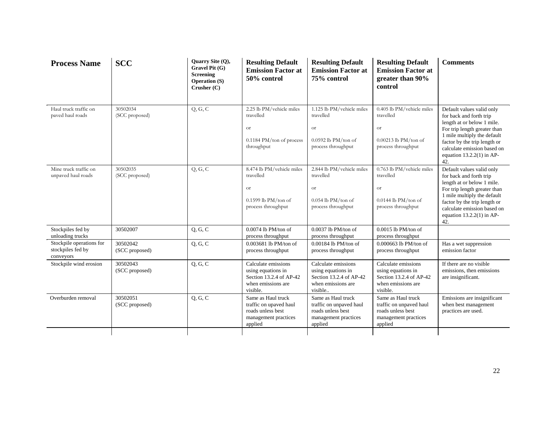| <b>Process Name</b>                                        | <b>SCC</b>                 | Quarry Site (Q),<br>Gravel Pit (G)<br><b>Screening</b><br><b>Operation (S)</b><br>Crusher (C) | <b>Resulting Default</b><br><b>Emission Factor at</b><br>50% control                                    | <b>Resulting Default</b><br><b>Emission Factor at</b><br>75% control                                  | <b>Resulting Default</b><br><b>Emission Factor at</b><br>greater than 90%<br>control                   | <b>Comments</b>                                                                                                                                                                                                                                        |
|------------------------------------------------------------|----------------------------|-----------------------------------------------------------------------------------------------|---------------------------------------------------------------------------------------------------------|-------------------------------------------------------------------------------------------------------|--------------------------------------------------------------------------------------------------------|--------------------------------------------------------------------------------------------------------------------------------------------------------------------------------------------------------------------------------------------------------|
| Haul truck traffic on<br>paved haul roads                  | 30502034<br>(SCC proposed) | Q, G, C                                                                                       | 2.25 lb PM/vehicle miles<br>travelled<br><b>or</b><br>$0.1184 \text{ PM}$ /ton of process<br>throughput | 1.125 lb PM/vehicle miles<br>travelled<br><b>or</b><br>$0.0592$ lb PM/ton of<br>process throughput    | 0.405 lb PM/vehicle miles<br>travelled<br><b>or</b><br>$0.00213$ lb PM/ton of<br>process throughput    | Default values valid only<br>for back and forth trip<br>length at or below 1 mile.<br>For trip length greater than<br>1 mile multiply the default<br>factor by the trip length or<br>calculate emission based on<br>equation $13.2.2(1)$ in AP-<br>42. |
| Mine truck traffic on<br>unpaved haul roads                | 30502035<br>(SCC proposed) | Q, G, C                                                                                       | 8.474 lb PM/vehicle miles<br>travelled<br><b>or</b><br>$0.1599$ lb PM/ton of<br>process throughput      | 2.844 lb PM/vehicle miles<br>travelled<br><b>or</b><br>$0.054$ lb PM/ton of<br>process throughput     | 0.763 lb PM/vehicle miles<br>travelled<br><b>or</b><br>$0.0144$ lb PM/ton of<br>process throughput     | Default values valid only<br>for back and forth trip<br>length at or below 1 mile.<br>For trip length greater than<br>1 mile multiply the default<br>factor by the trip length or<br>calculate emission based on<br>equation $13.2.2(1)$ in AP-<br>42. |
| Stockpiles fed by<br>unloading trucks                      | 30502007                   | Q, G, C                                                                                       | $0.0074$ lb PM/ton of<br>process throughput                                                             | $0.0037$ lb PM/ton of<br>process throughput                                                           | $0.0015$ lb PM/ton of<br>process throughput                                                            |                                                                                                                                                                                                                                                        |
| Stockpile operations for<br>stockpiles fed by<br>conveyors | 30502042<br>(SCC proposed) | Q, G, C                                                                                       | 0.003681 lb PM/ton of<br>process throughput                                                             | $0.00184$ lb PM/ton of<br>process throughput                                                          | 0.000663 lb PM/ton of<br>process throughput                                                            | Has a wet suppression<br>emission factor                                                                                                                                                                                                               |
| Stockpile wind erosion                                     | 30502043<br>(SCC proposed) | Q, G, C                                                                                       | Calculate emissions<br>using equations in<br>Section 13.2.4 of AP-42<br>when emissions are<br>visible.  | Calculate emissions<br>using equations in<br>Section 13.2.4 of AP-42<br>when emissions are<br>visible | Calculate emissions<br>using equations in<br>Section 13.2.4 of AP-42<br>when emissions are<br>visible. | If there are no visible<br>emissions, then emissions<br>are insignificant.                                                                                                                                                                             |
| Overburden removal                                         | 30502051<br>(SCC proposed) | Q, G, C                                                                                       | Same as Haul truck<br>traffic on upaved haul<br>roads unless best<br>management practices<br>applied    | Same as Haul truck<br>traffic on unpaved haul<br>roads unless best<br>management practices<br>applied | Same as Haul truck<br>traffic on unpaved haul<br>roads unless best<br>management practices<br>applied  | Emissions are insignificant<br>when best management<br>practices are used.                                                                                                                                                                             |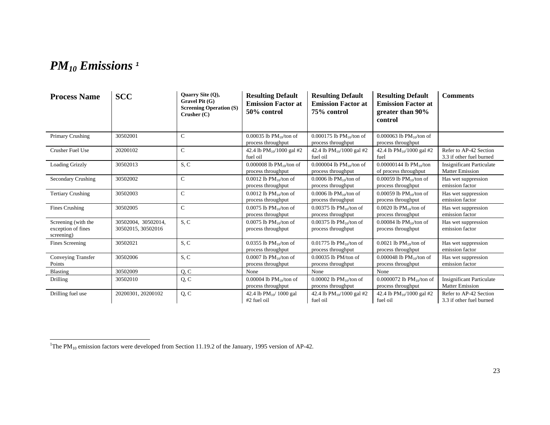## *PM10 Emissions <sup>1</sup>*

| <b>Process Name</b>                                     | <b>SCC</b>                                | Ouarry Site $(0)$ ,<br>Gravel Pit (G)<br><b>Screening Operation (S)</b><br>Crusher (C) | <b>Resulting Default</b><br><b>Emission Factor at</b><br>50% control | <b>Resulting Default</b><br><b>Emission Factor at</b><br>75% control | <b>Resulting Default</b><br><b>Emission Factor at</b><br>greater than 90%<br>control | <b>Comments</b>                                            |
|---------------------------------------------------------|-------------------------------------------|----------------------------------------------------------------------------------------|----------------------------------------------------------------------|----------------------------------------------------------------------|--------------------------------------------------------------------------------------|------------------------------------------------------------|
| Primary Crushing                                        | 30502001                                  | $\mathsf{C}$                                                                           | 0.00035 lb $PM_{10}/\text{ton of}$<br>process throughput             | 0.000175 lb $PM_{10}/\text{ton of}$<br>process throughput            | 0.000063 lb $PM_{10}/\text{ton of}$<br>process throughput                            |                                                            |
| <b>Crusher Fuel Use</b>                                 | 20200102                                  | $\mathsf{C}$                                                                           | 42.4 lb $PM_{10}/1000$ gal #2<br>fuel oil                            | 42.4 lb $PM_{10}/1000$ gal #2<br>fuel oil                            | 42.4 lb $PM_{10}/1000$ gal #2<br>fuel                                                | Refer to AP-42 Section<br>3.3 if other fuel burned         |
| <b>Loading Grizzly</b>                                  | 30502013                                  | S, C                                                                                   | 0.000008 lb $PM_{10}/\text{ton of}$<br>process throughput            | 0.000004 lb $PM_{10}/\text{ton of}$<br>process throughput            | 0.00000144 lb $PM_{10}/\text{ton}$<br>of process throughput                          | <b>Insignificant Particulate</b><br><b>Matter Emission</b> |
| Secondary Crushing                                      | 30502002                                  | $\mathbf C$                                                                            | $0.0012$ lb PM <sub>10</sub> /ton of<br>process throughput           | $0.0006$ lb PM <sub>10</sub> /ton of<br>process throughput           | 0.00059 lb $PM_{10}/\text{ton of}$<br>process throughput                             | Has wet suppression<br>emission factor                     |
| <b>Tertiary Crushing</b>                                | 30502003                                  | $\mathbf C$                                                                            | $0.0012$ lb PM <sub>10</sub> /ton of<br>process throughput           | 0.0006 lb $PM_{10}/\text{ton of}$<br>process throughput              | $0.00059$ lb PM <sub>10</sub> /ton of<br>process throughput                          | Has wet suppression<br>emission factor                     |
| Fines Crushing                                          | 30502005                                  | $\mathcal{C}$                                                                          | $0.0075$ lb PM $_{10}$ /ton of<br>process throughput                 | $0.00375$ lb PM $_{10}$ /ton of<br>process throughput                | $0.0020$ lb PM $_{10}$ /ton of<br>process throughput                                 | Has wet suppression<br>emission factor                     |
| Screening (with the<br>exception of fines<br>screening) | 30502004, 30502014,<br>30502015, 30502016 | S, C                                                                                   | $0.0075$ lb PM <sub>10</sub> /ton of<br>process throughput           | 0.00375 lb $PM_{10}/\text{ton of}$<br>process throughput             | 0.00084 lb $PM_{10}/\text{ton of}$<br>process throughput                             | Has wet suppression<br>emission factor                     |
| <b>Fines Screening</b>                                  | 30502021                                  | S, C                                                                                   | $0.0355$ lb PM <sub>10</sub> /ton of<br>process throughput           | 0.01775 lb $PM_{10}/\text{ton of}$<br>process throughput             | 0.0021 lb $PM_{10}/\text{ton of}$<br>process throughput                              | Has wet suppression<br>emission factor                     |
| Conveying Transfer<br>Points                            | 30502006                                  | S, C                                                                                   | 0.0007 lb $PM_{10}$ /ton of<br>process throughput                    | $0.00035$ lb PM/ton of<br>process throughput                         | 0.000048 lb $PM_{10}/\text{ton of}$<br>process throughput                            | Has wet suppression<br>emission factor                     |
| Blasting                                                | 30502009                                  | Q, C                                                                                   | None                                                                 | None                                                                 | None                                                                                 |                                                            |
| Drilling                                                | 30502010                                  | Q, C                                                                                   | 0.00004 lb $PM_{10}/\text{ton of}$<br>process throughput             | 0.00002 lb $PM_{10}/\text{ton of}$<br>process throughput             | 0.0000072 lb $PM_{10}/\text{ton of}$<br>process throughput                           | <b>Insignificant Particulate</b><br><b>Matter Emission</b> |
| Drilling fuel use                                       | 20200301, 20200102                        | Q, C                                                                                   | 42.4 lb $PM_{10}$ 1000 gal<br>#2 fuel oil                            | 42.4 lb $PM_{10}/1000$ gal #2<br>fuel oil                            | 42.4 lb $PM_{10}/1000$ gal #2<br>fuel oil                                            | Refer to AP-42 Section<br>3.3 if other fuel burned         |

<sup>&</sup>lt;sup>1</sup>The PM<sub>10</sub> emission factors were developed from Section 11.19.2 of the January, 1995 version of AP-42.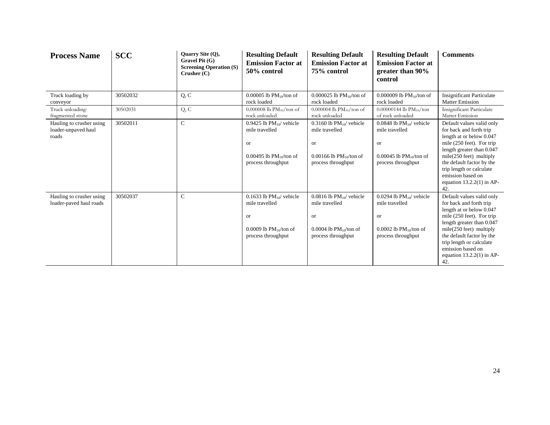| <b>Process Name</b>                                      | <b>SCC</b> | Quarry Site (Q),<br>Gravel Pit (G)<br><b>Screening Operation (S)</b><br>Crusher(C) | <b>Resulting Default</b><br><b>Emission Factor at</b><br>50% control                                            | <b>Resulting Default</b><br><b>Emission Factor at</b><br>75% control                                                                | <b>Resulting Default</b><br><b>Emission Factor at</b><br>greater than 90%<br>control                                      | <b>Comments</b>                                                                                                                                                                                                                                                                                     |
|----------------------------------------------------------|------------|------------------------------------------------------------------------------------|-----------------------------------------------------------------------------------------------------------------|-------------------------------------------------------------------------------------------------------------------------------------|---------------------------------------------------------------------------------------------------------------------------|-----------------------------------------------------------------------------------------------------------------------------------------------------------------------------------------------------------------------------------------------------------------------------------------------------|
| Truck loading by<br>conveyor                             | 30502032   | Q, C                                                                               | 0.00005 lb $PM_{10}/\text{ton of}$<br>rock loaded                                                               | 0.000025 lb $PM_{10}/\text{ton of}$<br>rock loaded                                                                                  | 0.000009 lb $PM_{10}/\text{ton of}$<br>rock loaded                                                                        | <b>Insignificant Particulate</b><br><b>Matter Emission</b>                                                                                                                                                                                                                                          |
| Truck unloading:<br>fragmented stone                     | 30502031   | Q, C                                                                               | 0.000008 lb $PM_{10}/\text{ton of}$<br>rock unloaded                                                            | 0.000004 lb $PM_{10}/\text{ton of}$<br>rock unloaded                                                                                | $0.00000144$ lb PM <sub>10</sub> /ton<br>of rock unloaded                                                                 | Insignificant Particulate<br>Matter Emission                                                                                                                                                                                                                                                        |
| Hauling to crusher using<br>loader-unpaved haul<br>roads | 30502011   | $\mathbf C$                                                                        | 0.9425 lb $PM_{10}$ vehicle<br>mile travelled<br>or<br>0.00495 lb $PM_{10}/\text{ton of}$<br>process throughput | $0.3160$ lb PM $_{10}$ vehicle<br>mile travelled<br><b>or</b><br>0.00166 lb $PM_{10}/\text{ton of}$<br>process throughput           | $0.0848$ lb PM $_{10}$ vehicle<br>mile travelled<br><b>or</b><br>0.00045 lb $PM_{10}/\text{ton of}$<br>process throughput | Default values valid only<br>for back and forth trip<br>length at or below 0.047<br>mile (250 feet). For trip<br>length greater than 0.047<br>$mile(250 \text{ feet})$ multiply<br>the default factor by the<br>trip length or calculate<br>emission based on<br>equation $13.2.2(1)$ in AP-<br>42. |
| Hauling to crusher using<br>loader-paved haul roads      | 30502037   | $\mathsf{C}$                                                                       | 0.1633 lb $PM_{10}$ vehicle<br>mile travelled<br>or<br>0.0009 lb $PM_{10}/\text{ton of}$<br>process throughput  | $0.0816$ lb PM <sub>10</sub> / vehicle<br>mile travelled<br><b>or</b><br>$0.0004$ lb PM <sub>10</sub> /ton of<br>process throughput | $0.0294$ lb PM $_{10}$ vehicle<br>mile travelled<br><b>or</b><br>0.0002 lb $PM_{10}/\text{ton of}$<br>process throughput  | Default values valid only<br>for back and forth trip<br>length at or below 0.047<br>mile (250 feet). For trip<br>length greater than 0.047<br>$mile(250 \text{ feet})$ multiply<br>the default factor by the<br>trip length or calculate<br>emission based on<br>equation $13.2.2(1)$ in AP-<br>42. |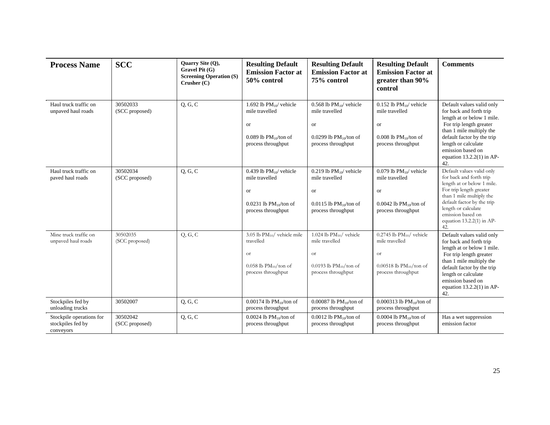| <b>Process Name</b>                                        | <b>SCC</b>                 | Quarry Site (Q),<br>Gravel Pit (G)<br><b>Screening Operation (S)</b><br>$C$ rusher $(C)$ | <b>Resulting Default</b><br><b>Emission Factor at</b><br>50% control                                                    | <b>Resulting Default</b><br><b>Emission Factor at</b><br>75% control                                                    | <b>Resulting Default</b><br><b>Emission Factor at</b><br>greater than 90%<br>control                                              | <b>Comments</b>                                                                                                                                                                                                                                           |
|------------------------------------------------------------|----------------------------|------------------------------------------------------------------------------------------|-------------------------------------------------------------------------------------------------------------------------|-------------------------------------------------------------------------------------------------------------------------|-----------------------------------------------------------------------------------------------------------------------------------|-----------------------------------------------------------------------------------------------------------------------------------------------------------------------------------------------------------------------------------------------------------|
| Haul truck traffic on<br>unpaved haul roads                | 30502033<br>(SCC proposed) | Q, G, C                                                                                  | 1.692 lb $PM_{10}$ vehicle<br>mile travelled<br>or<br>$0.089$ lb PM $_{10}$ /ton of<br>process throughput               | $0.568$ lb PM $_{10}$ vehicle<br>mile travelled<br><b>or</b><br>0.0299 lb $PM_{10}/\text{ton of}$<br>process throughput | $0.152$ lb PM <sub>10</sub> / vehicle<br>mile travelled<br>or<br>$0.008$ lb PM $_{10}$ /ton of<br>process throughput              | Default values valid only<br>for back and forth trip<br>length at or below 1 mile.<br>For trip length greater<br>than 1 mile multiply the<br>default factor by the trip<br>length or calculate<br>emission based on<br>equation $13.2.2(1)$ in AP-<br>42. |
| Haul truck traffic on<br>paved haul roads                  | 30502034<br>(SCC proposed) | Q, G, C                                                                                  | 0.439 lb $PM_{10}$ vehicle<br>mile travelled<br>or<br>$0.0231$ lb PM <sub>10</sub> /ton of<br>process throughput        | 0.219 lb $PM_{10}$ vehicle<br>mile travelled<br><b>or</b><br>$0.0115$ lb PM <sub>10</sub> /ton of<br>process throughput | 0.079 lb $PM_{10}$ vehicle<br>mile travelled<br>or<br>0.0042 lb $PM_{10}/\text{ton of}$<br>process throughput                     | Default values valid only<br>for back and forth trip<br>length at or below 1 mile.<br>For trip length greater<br>than 1 mile multiply the<br>default factor by the trip<br>length or calculate<br>emission based on<br>equation 13.2.2(1) in AP-<br>42.   |
| Mine truck traffic on<br>unpaved haul roads                | 30502035<br>(SCC proposed) | Q, G, C                                                                                  | 3.05 lb $PM_{10}$ / vehicle mile<br>travelled<br><b>Or</b><br>$0.058$ lb PM <sub>10</sub> /ton of<br>process throughput | 1.024 lb $PM_{10}/$ vehicle<br>mile travelled<br><b>or</b><br>0.0193 lb $PM_{10}/\text{ton of}$<br>process throughput   | $0.2745$ lb PM <sub>10</sub> / vehicle<br>mile travelled<br><b>or</b><br>0.00518 lb $PM_{10}/\text{ton of}$<br>process throughput | Default values valid only<br>for back and forth trip<br>length at or below 1 mile.<br>For trip length greater<br>than 1 mile multiply the<br>default factor by the trip<br>length or calculate<br>emission based on<br>equation $13.2.2(1)$ in AP-<br>42. |
| Stockpiles fed by<br>unloading trucks                      | 30502007                   | Q, G, C                                                                                  | 0.00174 lb $PM_{10}/\text{ton of}$<br>process throughput                                                                | 0.00087 lb $PM_{10}/\text{ton of}$<br>process throughput                                                                | 0.000313 lb $PM_{10}/\text{ton of}$<br>process throughput                                                                         |                                                                                                                                                                                                                                                           |
| Stockpile operations for<br>stockpiles fed by<br>conveyors | 30502042<br>(SCC proposed) | Q, G, C                                                                                  | $0.0024$ lb PM <sub>10</sub> /ton of<br>process throughput                                                              | $0.0012$ lb PM <sub>10</sub> /ton of<br>process throughput                                                              | 0.0004 lb $PM_{10}/\text{ton of}$<br>process throughput                                                                           | Has a wet suppression<br>emission factor                                                                                                                                                                                                                  |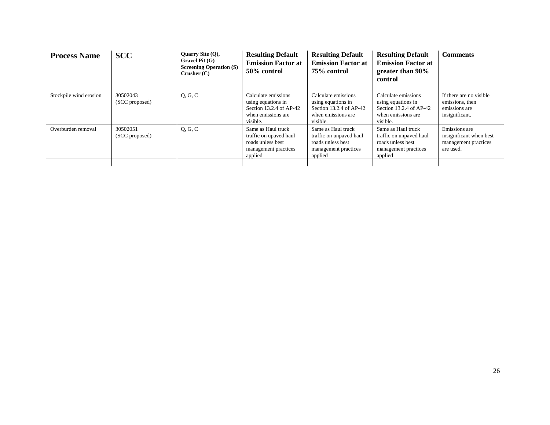| <b>Process Name</b>    | <b>SCC</b>                 | Quarry Site $(Q)$ ,<br>Gravel Pit (G)<br><b>Screening Operation (S)</b><br>Crusher $(C)$ | <b>Resulting Default</b><br><b>Emission Factor at</b><br>50% control                                   | <b>Resulting Default</b><br><b>Emission Factor at</b><br>75% control                                   | <b>Resulting Default</b><br><b>Emission Factor at</b><br>greater than 90%<br>control                   | <b>Comments</b>                                                               |
|------------------------|----------------------------|------------------------------------------------------------------------------------------|--------------------------------------------------------------------------------------------------------|--------------------------------------------------------------------------------------------------------|--------------------------------------------------------------------------------------------------------|-------------------------------------------------------------------------------|
| Stockpile wind erosion | 30502043<br>(SCC proposed) | Q, G, C                                                                                  | Calculate emissions<br>using equations in<br>Section 13.2.4 of AP-42<br>when emissions are<br>visible. | Calculate emissions<br>using equations in<br>Section 13.2.4 of AP-42<br>when emissions are<br>visible. | Calculate emissions<br>using equations in<br>Section 13.2.4 of AP-42<br>when emissions are<br>visible. | If there are no visible<br>emissions, then<br>emissions are<br>insignificant. |
| Overburden removal     | 30502051<br>(SCC proposed) | Q, G, C                                                                                  | Same as Haul truck<br>traffic on upaved haul<br>roads unless best<br>management practices<br>applied   | Same as Haul truck<br>traffic on unpaved haul<br>roads unless best<br>management practices<br>applied  | Same as Haul truck<br>traffic on unpaved haul<br>roads unless best<br>management practices<br>applied  | Emissions are<br>insignificant when best<br>management practices<br>are used. |
|                        |                            |                                                                                          |                                                                                                        |                                                                                                        |                                                                                                        |                                                                               |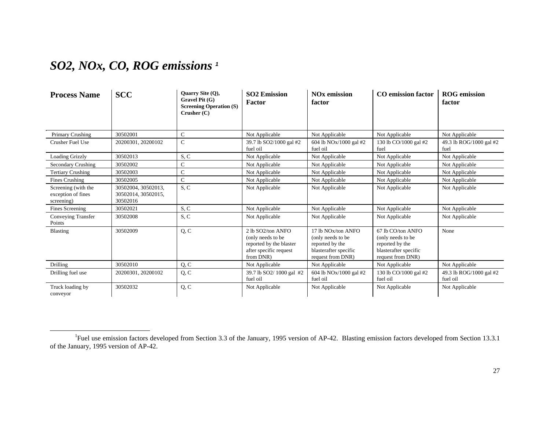### *SO2, NOx, CO, ROG emissions <sup>1</sup>*

| <b>Process Name</b>                                     | <b>SCC</b>                                             | Quarry Site (Q),<br>$G$ ravel Pit $(G)$<br><b>Screening Operation (S)</b><br>Crusher $(C)$ | <b>SO2 Emission</b><br><b>Factor</b>                                                                     | <b>NO<sub>x</sub></b> emission<br>factor                                                                              | <b>CO</b> emission factor                                                                               | <b>ROG</b> emission<br>factor       |
|---------------------------------------------------------|--------------------------------------------------------|--------------------------------------------------------------------------------------------|----------------------------------------------------------------------------------------------------------|-----------------------------------------------------------------------------------------------------------------------|---------------------------------------------------------------------------------------------------------|-------------------------------------|
| Primary Crushing                                        | 30502001                                               | $\mathbf C$                                                                                | Not Applicable                                                                                           | Not Applicable                                                                                                        | Not Applicable                                                                                          | Not Applicable                      |
| Crusher Fuel Use                                        | 20200301, 20200102                                     | $\mathbf C$                                                                                | 39.7 lb SO2/1000 gal #2<br>fuel oil                                                                      | 604 lb NOx/1000 gal #2<br>fuel oil                                                                                    | 130 lb CO/1000 gal #2<br>fuel                                                                           | 49.3 lb ROG/1000 gal #2<br>fuel     |
| <b>Loading Grizzly</b>                                  | 30502013                                               | S, C                                                                                       | Not Applicable                                                                                           | Not Applicable                                                                                                        | Not Applicable                                                                                          | Not Applicable                      |
| Secondary Crushing                                      | 30502002                                               | $\mathcal{C}$                                                                              | Not Applicable                                                                                           | Not Applicable                                                                                                        | Not Applicable                                                                                          | Not Applicable                      |
| <b>Tertiary Crushing</b>                                | 30502003                                               | $\mathcal{C}$                                                                              | Not Applicable                                                                                           | Not Applicable                                                                                                        | Not Applicable                                                                                          | Not Applicable                      |
| <b>Fines Crushing</b>                                   | 30502005                                               | $\mathcal{C}$                                                                              | Not Applicable                                                                                           | Not Applicable                                                                                                        | Not Applicable                                                                                          | Not Applicable                      |
| Screening (with the<br>exception of fines<br>screening) | 30502004, 30502013,<br>30502014, 30502015,<br>30502016 | S, C                                                                                       | Not Applicable                                                                                           | Not Applicable                                                                                                        | Not Applicable                                                                                          | Not Applicable                      |
| Fines Screening                                         | 30502021                                               | S, C                                                                                       | Not Applicable                                                                                           | Not Applicable                                                                                                        | Not Applicable                                                                                          | Not Applicable                      |
| Conveying Transfer<br>Points                            | 30502008                                               | S, C                                                                                       | Not Applicable                                                                                           | Not Applicable                                                                                                        | Not Applicable                                                                                          | Not Applicable                      |
| <b>Blasting</b>                                         | 30502009                                               | Q, C                                                                                       | 2 lb SO2/ton ANFO<br>(only needs to be<br>reported by the blaster<br>after specific request<br>from DNR) | 17 lb NO <sub>x</sub> /ton ANFO<br>(only needs to be<br>reported by the<br>blasterafter specific<br>request from DNR) | 67 lb CO/ton ANFO<br>(only needs to be<br>reported by the<br>blasterafter specific<br>request from DNR) | None                                |
| Drilling                                                | 30502010                                               | Q, C                                                                                       | Not Applicable                                                                                           | Not Applicable                                                                                                        | Not Applicable                                                                                          | Not Applicable                      |
| Drilling fuel use                                       | 20200301, 20200102                                     | Q, C                                                                                       | 39.7 lb SO2/1000 gal #2<br>fuel oil                                                                      | 604 lb NOx/1000 gal #2<br>fuel oil                                                                                    | 130 lb CO/1000 gal #2<br>fuel oil                                                                       | 49.3 lb ROG/1000 gal #2<br>fuel oil |
| Truck loading by<br>conveyor                            | 30502032                                               | Q, C                                                                                       | Not Applicable                                                                                           | Not Applicable                                                                                                        | Not Applicable                                                                                          | Not Applicable                      |

<sup>&</sup>lt;sup>1</sup>Fuel use emission factors developed from Section 3.3 of the January, 1995 version of AP-42. Blasting emission factors developed from Section 13.3.1 of the January, 1995 version of AP-42.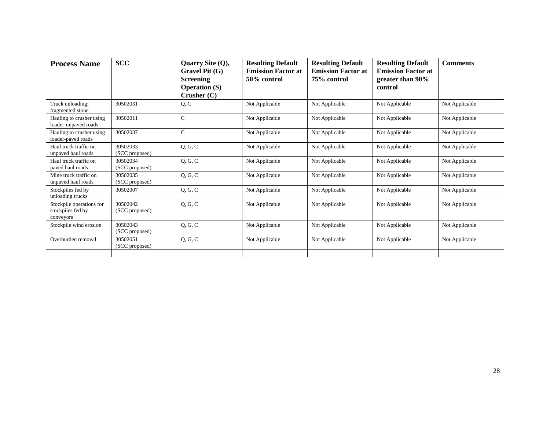| <b>Process Name</b>                                        | <b>SCC</b>                 | Quarry Site (Q),<br>Gravel Pit $(G)$<br><b>Screening</b><br><b>Operation (S)</b><br>Crusher $(C)$ | <b>Resulting Default</b><br><b>Emission Factor at</b><br>50% control | <b>Resulting Default</b><br><b>Emission Factor at</b><br>75% control | <b>Resulting Default</b><br><b>Emission Factor at</b><br>greater than 90%<br>control | <b>Comments</b> |
|------------------------------------------------------------|----------------------------|---------------------------------------------------------------------------------------------------|----------------------------------------------------------------------|----------------------------------------------------------------------|--------------------------------------------------------------------------------------|-----------------|
| Truck unloading:<br>fragmented stone                       | 30502031                   | Q, C                                                                                              | Not Applicable                                                       | Not Applicable                                                       | Not Applicable                                                                       | Not Applicable  |
| Hauling to crusher using<br>loader-unpaved roads           | 30502011                   | $\mathbf C$                                                                                       | Not Applicable                                                       | Not Applicable                                                       | Not Applicable                                                                       | Not Applicable  |
| Hauling to crusher using<br>loader-paved roads             | 30502037                   | $\mathbf C$                                                                                       | Not Applicable                                                       | Not Applicable                                                       | Not Applicable                                                                       | Not Applicable  |
| Haul truck traffic on<br>unpaved haul roads                | 30502033<br>(SCC proposed) | Q, G, C                                                                                           | Not Applicable                                                       | Not Applicable                                                       | Not Applicable                                                                       | Not Applicable  |
| Haul truck traffic on<br>paved haul roads                  | 30502034<br>(SCC proposed) | Q, G, C                                                                                           | Not Applicable                                                       | Not Applicable                                                       | Not Applicable                                                                       | Not Applicable  |
| Mine truck traffic on<br>unpaved haul roads                | 30502035<br>(SCC proposed) | Q, G, C                                                                                           | Not Applicable                                                       | Not Applicable                                                       | Not Applicable                                                                       | Not Applicable  |
| Stockpiles fed by<br>unloading trucks                      | 30502007                   | Q, G, C                                                                                           | Not Applicable                                                       | Not Applicable                                                       | Not Applicable                                                                       | Not Applicable  |
| Stockpile operations for<br>stockpiles fed by<br>conveyors | 30502042<br>(SCC proposed) | Q, G, C                                                                                           | Not Applicable                                                       | Not Applicable                                                       | Not Applicable                                                                       | Not Applicable  |
| Stockpile wind erosion                                     | 30502043<br>(SCC proposed) | Q, G, C                                                                                           | Not Applicable                                                       | Not Applicable                                                       | Not Applicable                                                                       | Not Applicable  |
| Overburden removal                                         | 30502051<br>(SCC proposed) | Q, G, C                                                                                           | Not Applicable                                                       | Not Applicable                                                       | Not Applicable                                                                       | Not Applicable  |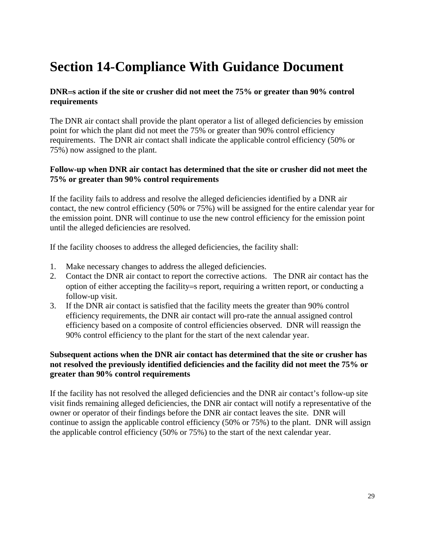# **Section 14-Compliance With Guidance Document**

#### **DNR**=**s action if the site or crusher did not meet the 75% or greater than 90% control requirements**

The DNR air contact shall provide the plant operator a list of alleged deficiencies by emission point for which the plant did not meet the 75% or greater than 90% control efficiency requirements. The DNR air contact shall indicate the applicable control efficiency (50% or 75%) now assigned to the plant.

#### **Follow-up when DNR air contact has determined that the site or crusher did not meet the 75% or greater than 90% control requirements**

If the facility fails to address and resolve the alleged deficiencies identified by a DNR air contact, the new control efficiency (50% or 75%) will be assigned for the entire calendar year for the emission point. DNR will continue to use the new control efficiency for the emission point until the alleged deficiencies are resolved.

If the facility chooses to address the alleged deficiencies, the facility shall:

- 1. Make necessary changes to address the alleged deficiencies.
- 2. Contact the DNR air contact to report the corrective actions. The DNR air contact has the option of either accepting the facility=s report, requiring a written report, or conducting a follow-up visit.
- 3. If the DNR air contact is satisfied that the facility meets the greater than 90% control efficiency requirements, the DNR air contact will pro-rate the annual assigned control efficiency based on a composite of control efficiencies observed. DNR will reassign the 90% control efficiency to the plant for the start of the next calendar year.

#### **Subsequent actions when the DNR air contact has determined that the site or crusher has not resolved the previously identified deficiencies and the facility did not meet the 75% or greater than 90% control requirements**

If the facility has not resolved the alleged deficiencies and the DNR air contact's follow-up site visit finds remaining alleged deficiencies, the DNR air contact will notify a representative of the owner or operator of their findings before the DNR air contact leaves the site. DNR will continue to assign the applicable control efficiency (50% or 75%) to the plant. DNR will assign the applicable control efficiency (50% or 75%) to the start of the next calendar year.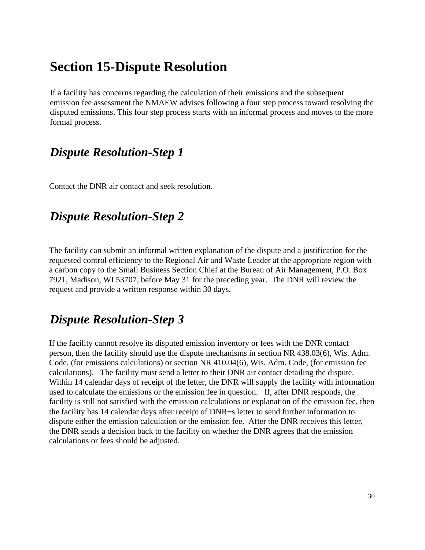# **Section 15-Dispute Resolution**

If a facility has concerns regarding the calculation of their emissions and the subsequent emission fee assessment the NMAEW advises following a four step process toward resolving the disputed emissions. This four step process starts with an informal process and moves to the more formal process.

### *Dispute Resolution-Step 1*

Contact the DNR air contact and seek resolution.

### *Dispute Resolution-Step 2*

The facility can submit an informal written explanation of the dispute and a justification for the requested control efficiency to the Regional Air and Waste Leader at the appropriate region with a carbon copy to the Small Business Section Chief at the Bureau of Air Management, P.O. Box 7921, Madison, WI 53707, before May 31 for the preceding year. The DNR will review the request and provide a written response within 30 days.

### *Dispute Resolution-Step 3*

If the facility cannot resolve its disputed emission inventory or fees with the DNR contact person, then the facility should use the dispute mechanisms in section NR 438.03(6), Wis. Adm. Code, (for emissions calculations) or section NR 410.04(6), Wis. Adm. Code, (for emission fee calculations). The facility must send a letter to their DNR air contact detailing the dispute. Within 14 calendar days of receipt of the letter, the DNR will supply the facility with information used to calculate the emissions or the emission fee in question. If, after DNR responds, the facility is still not satisfied with the emission calculations or explanation of the emission fee, then the facility has 14 calendar days after receipt of DNR=s letter to send further information to dispute either the emission calculation or the emission fee. After the DNR receives this letter, the DNR sends a decision back to the facility on whether the DNR agrees that the emission calculations or fees should be adjusted.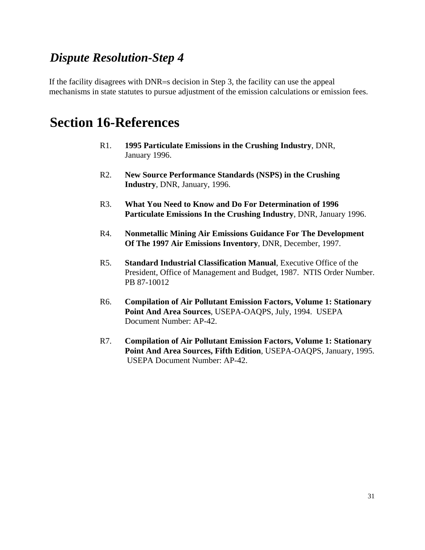### *Dispute Resolution-Step 4*

If the facility disagrees with DNR=s decision in Step 3, the facility can use the appeal mechanisms in state statutes to pursue adjustment of the emission calculations or emission fees.

### **Section 16-References**

- R1. **1995 Particulate Emissions in the Crushing Industry**, DNR, January 1996.
- R2. **New Source Performance Standards (NSPS) in the Crushing Industry**, DNR, January, 1996.
- R3. **What You Need to Know and Do For Determination of 1996 Particulate Emissions In the Crushing Industry**, DNR, January 1996.
- R4. **Nonmetallic Mining Air Emissions Guidance For The Development Of The 1997 Air Emissions Inventory**, DNR, December, 1997.
- R5. **Standard Industrial Classification Manual**, Executive Office of the President, Office of Management and Budget, 1987. NTIS Order Number. PB 87-10012
- R6. **Compilation of Air Pollutant Emission Factors, Volume 1: Stationary Point And Area Sources**, USEPA-OAQPS, July, 1994. USEPA Document Number: AP-42.
- R7. **Compilation of Air Pollutant Emission Factors, Volume 1: Stationary Point And Area Sources, Fifth Edition**, USEPA-OAQPS, January, 1995. USEPA Document Number: AP-42.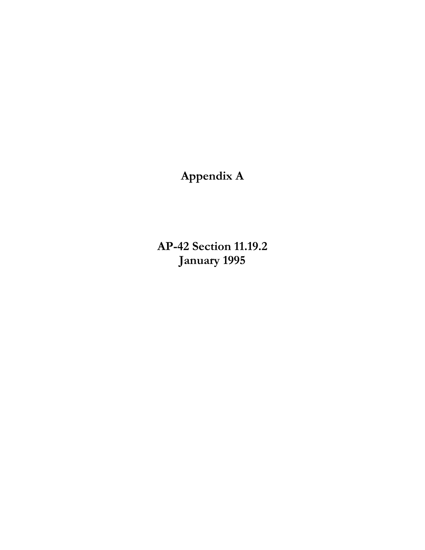**Appendix A** 

 **AP-42 Section 11.19.2 January 1995**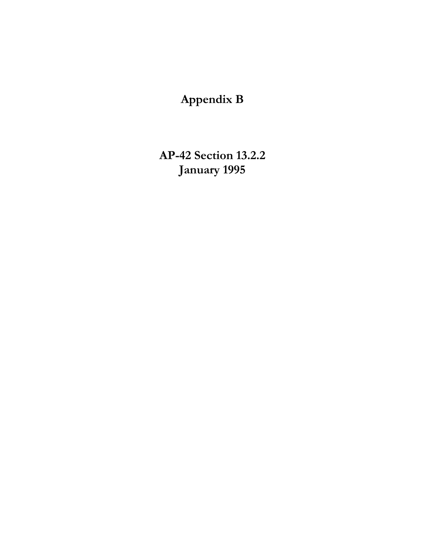# **Appendix B**

 **AP-42 Section 13.2.2 January 1995**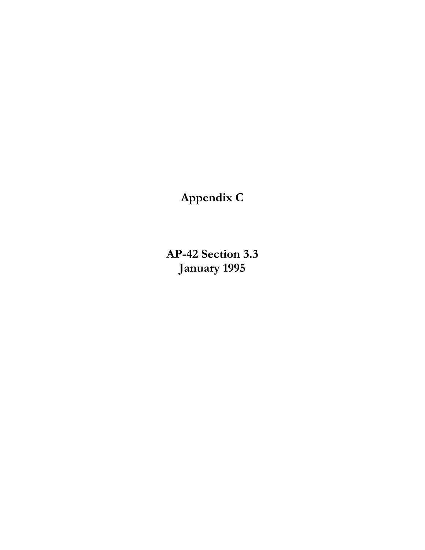**Appendix C** 

 **AP-42 Section 3.3 January 1995**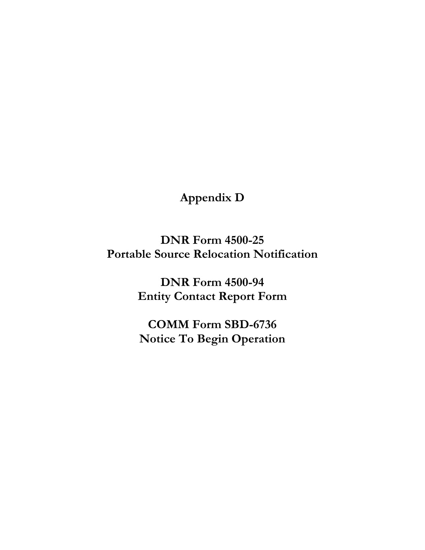## **Appendix D**

**DNR Form 4500-25 Portable Source Relocation Notification** 

> **DNR Form 4500-94 Entity Contact Report Form**

**COMM Form SBD-6736 Notice To Begin Operation**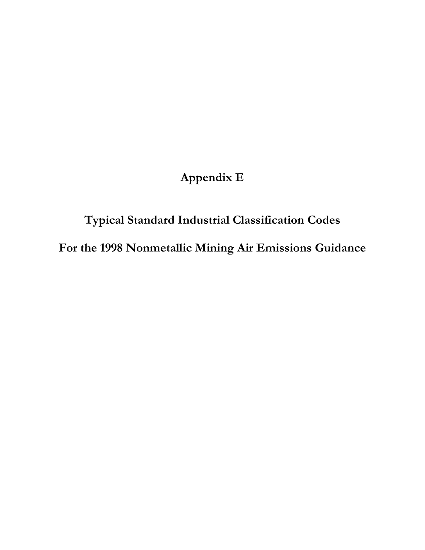# **Appendix E**

# **Typical Standard Industrial Classification Codes For the 1998 Nonmetallic Mining Air Emissions Guidance**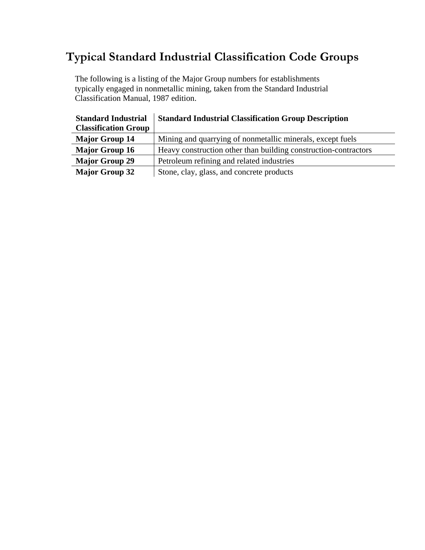## **Typical Standard Industrial Classification Code Groups**

The following is a listing of the Major Group numbers for establishments typically engaged in nonmetallic mining, taken from the Standard Industrial Classification Manual, 1987 edition.

 $\frac{1}{2}$ 

| <b>Standard Industrial</b>  | <b>Standard Industrial Classification Group Description</b>     |
|-----------------------------|-----------------------------------------------------------------|
| <b>Classification Group</b> |                                                                 |
| <b>Major Group 14</b>       | Mining and quarrying of nonmetallic minerals, except fuels      |
| <b>Major Group 16</b>       | Heavy construction other than building construction-contractors |
| <b>Major Group 29</b>       | Petroleum refining and related industries                       |
| <b>Major Group 32</b>       | Stone, clay, glass, and concrete products                       |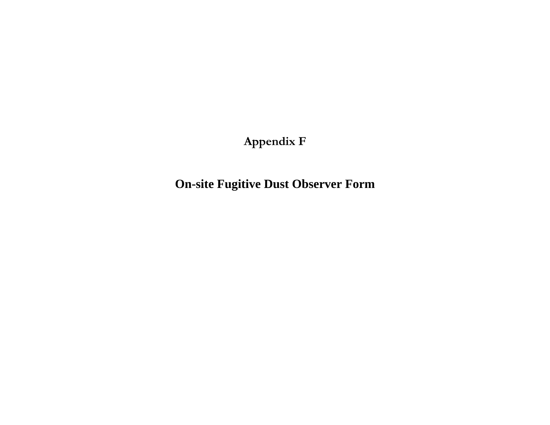**Appendix F** 

**On-site Fugitive Dust Observer Form**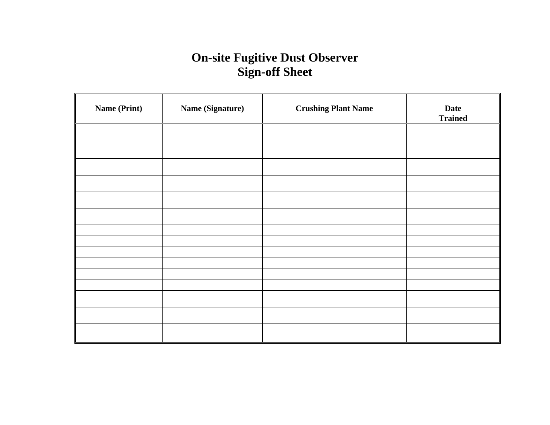# **On-site Fugitive Dust Observer Sign-off Sheet**

| <b>Name (Print)</b> | Name (Signature) | <b>Crushing Plant Name</b> | <b>Date</b><br><b>Trained</b> |
|---------------------|------------------|----------------------------|-------------------------------|
|                     |                  |                            |                               |
|                     |                  |                            |                               |
|                     |                  |                            |                               |
|                     |                  |                            |                               |
|                     |                  |                            |                               |
|                     |                  |                            |                               |
|                     |                  |                            |                               |
|                     |                  |                            |                               |
|                     |                  |                            |                               |
|                     |                  |                            |                               |
|                     |                  |                            |                               |
|                     |                  |                            |                               |
|                     |                  |                            |                               |
|                     |                  |                            |                               |
|                     |                  |                            |                               |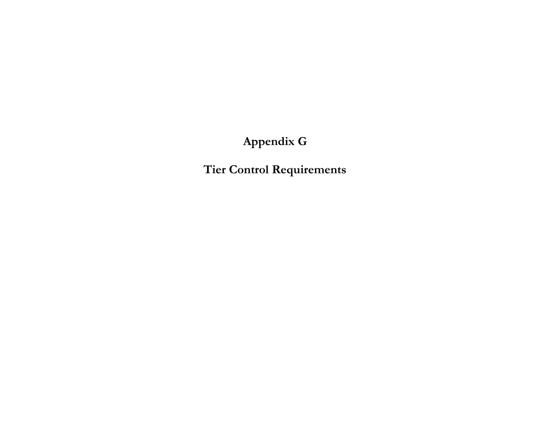# **Appendix G**

**Tier Control Requirements**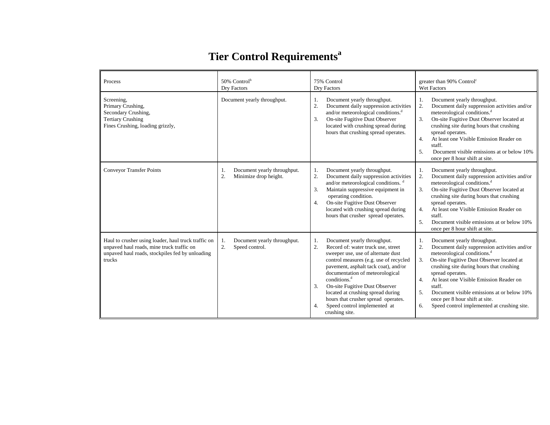# **Tier Control Requirements<sup>a</sup>**

| Process                                                                                                                                                       | 50% Control <sup>b</sup><br>Dry Factors                          | 75% Control<br>Dry Factors                                                                                                                                                                                                                                                                                                                                                                                                                                     | greater than 90% Control <sup>c</sup><br><b>Wet Factors</b>                                                                                                                                                                                                                                                                                                                                                                                                              |
|---------------------------------------------------------------------------------------------------------------------------------------------------------------|------------------------------------------------------------------|----------------------------------------------------------------------------------------------------------------------------------------------------------------------------------------------------------------------------------------------------------------------------------------------------------------------------------------------------------------------------------------------------------------------------------------------------------------|--------------------------------------------------------------------------------------------------------------------------------------------------------------------------------------------------------------------------------------------------------------------------------------------------------------------------------------------------------------------------------------------------------------------------------------------------------------------------|
| Screening,<br>Primary Crushing,<br>Secondary Crushing,<br><b>Tertiary Crushing</b><br>Fines Crushing, loading grizzly,                                        | Document yearly throughput.                                      | Document yearly throughput.<br>1.<br>2.<br>Document daily suppression activities<br>and/or meteorological conditions. <sup>d</sup><br>3.<br>On-site Fugitive Dust Observer<br>located with crushing spread during<br>hours that crushing spread operates.                                                                                                                                                                                                      | Document yearly throughput.<br>1.<br>2.<br>Document daily suppression activities and/or<br>meteorological conditions. <sup>d</sup><br>3.<br>On-site Fugitive Dust Observer located at<br>crushing site during hours that crushing<br>spread operates.<br>At least one Visible Emission Reader on<br>$\overline{4}$<br>staff.<br>Document visible emissions at or below 10%<br>5.<br>once per 8 hour shift at site.                                                       |
| <b>Conveyor Transfer Points</b>                                                                                                                               | Document yearly throughput.<br>1.<br>2.<br>Minimize drop height. | Document yearly throughput.<br>1.<br>2.<br>Document daily suppression activities<br>and/or meteorological conditions. <sup>d</sup><br>3.<br>Maintain suppressive equipment in<br>operating condition.<br>On-site Fugitive Dust Observer<br>4.<br>located with crushing spread during<br>hours that crusher spread operates.                                                                                                                                    | Document yearly throughput.<br>-1.<br>Document daily suppression activities and/or<br>2.<br>meteorological conditions. <sup>d</sup><br>On-site Fugitive Dust Observer located at<br>3.<br>crushing site during hours that crushing<br>spread operates.<br>At least one Visible Emission Reader on<br>4.<br>staff.<br>Document visible emissions at or below 10%<br>.5.<br>once per 8 hour shift at site.                                                                 |
| Haul to crusher using loader, haul truck traffic on<br>unpaved haul roads, mine truck traffic on<br>unpaved haul roads, stockpiles fed by unloading<br>trucks | Document yearly throughput.<br>1.<br>2.<br>Speed control.        | Document yearly throughput.<br>1.<br>$\overline{2}$ .<br>Record of: water truck use, street<br>sweeper use, use of alternate dust<br>control measures (e.g. use of recycled<br>pavement, asphalt tack coat), and/or<br>documentation of meteorological<br>conditions. <sup>d</sup><br>3.<br>On-site Fugitive Dust Observer<br>located at crushing spread during<br>hours that crusher spread operates.<br>Speed control implemented at<br>4.<br>crushing site. | Document yearly throughput.<br>-1.<br>Document daily suppression activities and/or<br>2.<br>meteorological conditions. <sup>d</sup><br>On-site Fugitive Dust Observer located at<br>3.<br>crushing site during hours that crushing<br>spread operates.<br>At least one Visible Emission Reader on<br>4.<br>staff.<br>Document visible emissions at or below 10%<br>5 <sub>1</sub><br>once per 8 hour shift at site.<br>Speed control implemented at crushing site.<br>6. |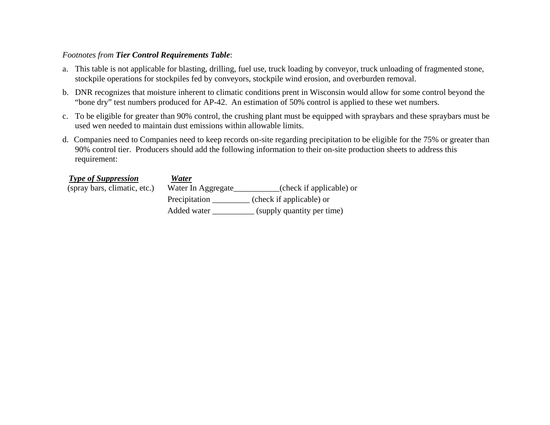#### *Footnotes from Tier Control Requirements Table*:

- a. This table is not applicable for blasting, drilling, fuel use, truck loading by conveyor, truck unloading of fragmented stone, stockpile operations for stockpiles fed by conveyors, stockpile wind erosion, and overburden removal.
- b. DNR recognizes that moisture inherent to climatic conditions prent in Wisconsin would allow for some control beyond the "bone dry" test numbers produced for AP-42. An estimation of 50% control is applied to these wet numbers.
- c. To be eligible for greater than 90% control, the crushing plant must be equipped with spraybars and these spraybars must be used wen needed to maintain dust emissions within allowable limits.
- d. Companies need to Companies need to keep records on-site regarding precipitation to be eligible for the 75% or greater than 90% control tier. Producers should add the following information to their on-site production sheets to address this requirement:

| <b>Type of Suppression</b>   | Water              |                            |
|------------------------------|--------------------|----------------------------|
| (spray bars, climatic, etc.) | Water In Aggregate | (check if applicable) or   |
|                              | Precipitation      | (check if applicable) or   |
|                              | Added water        | (supply quantity per time) |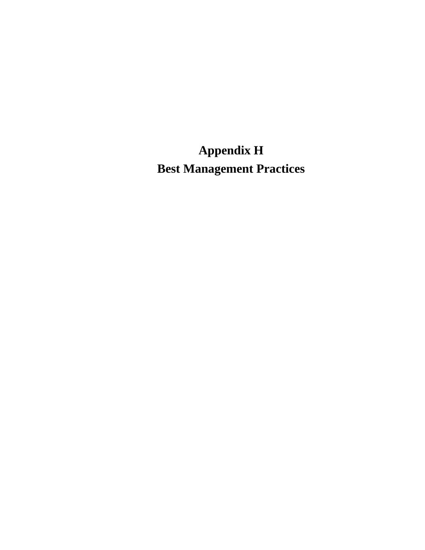**Appendix H Best Management Practices**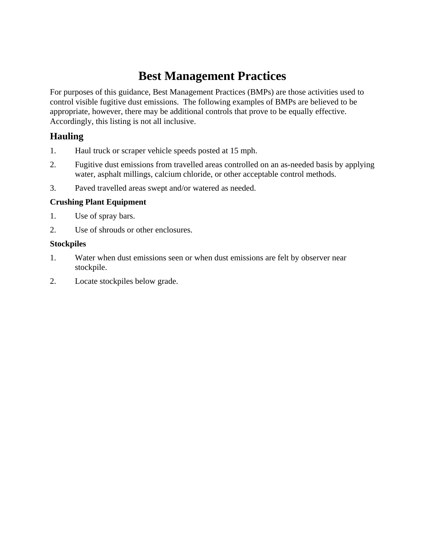### **Best Management Practices**

For purposes of this guidance, Best Management Practices (BMPs) are those activities used to control visible fugitive dust emissions. The following examples of BMPs are believed to be appropriate, however, there may be additional controls that prove to be equally effective. Accordingly, this listing is not all inclusive.

#### **Hauling**

- 1. Haul truck or scraper vehicle speeds posted at 15 mph.
- 2. Fugitive dust emissions from travelled areas controlled on an as-needed basis by applying water, asphalt millings, calcium chloride, or other acceptable control methods.
- 3. Paved travelled areas swept and/or watered as needed.

#### **Crushing Plant Equipment**

- 1. Use of spray bars.
- 2. Use of shrouds or other enclosures.

#### **Stockpiles**

- 1. Water when dust emissions seen or when dust emissions are felt by observer near stockpile.
- 2. Locate stockpiles below grade.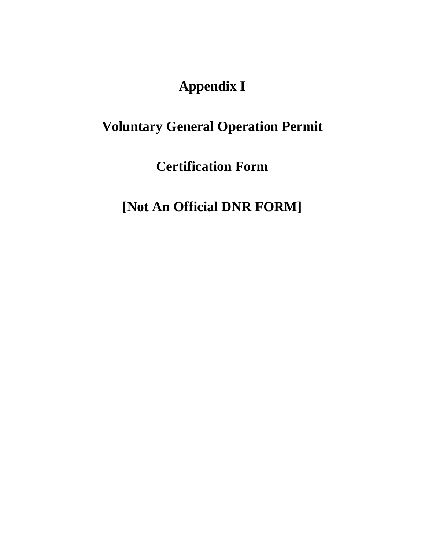# **Appendix I**

# **Voluntary General Operation Permit**

**Certification Form** 

**[Not An Official DNR FORM]**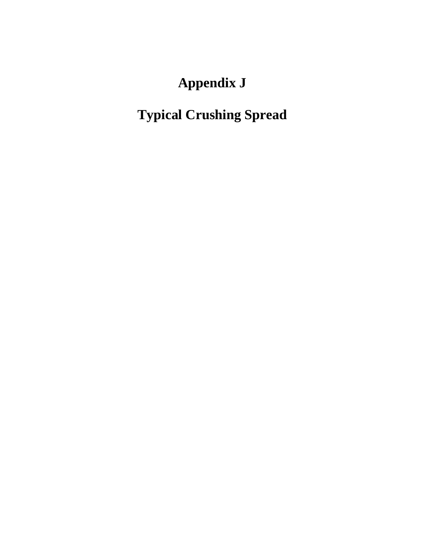# **Appendix J**

# **Typical Crushing Spread**